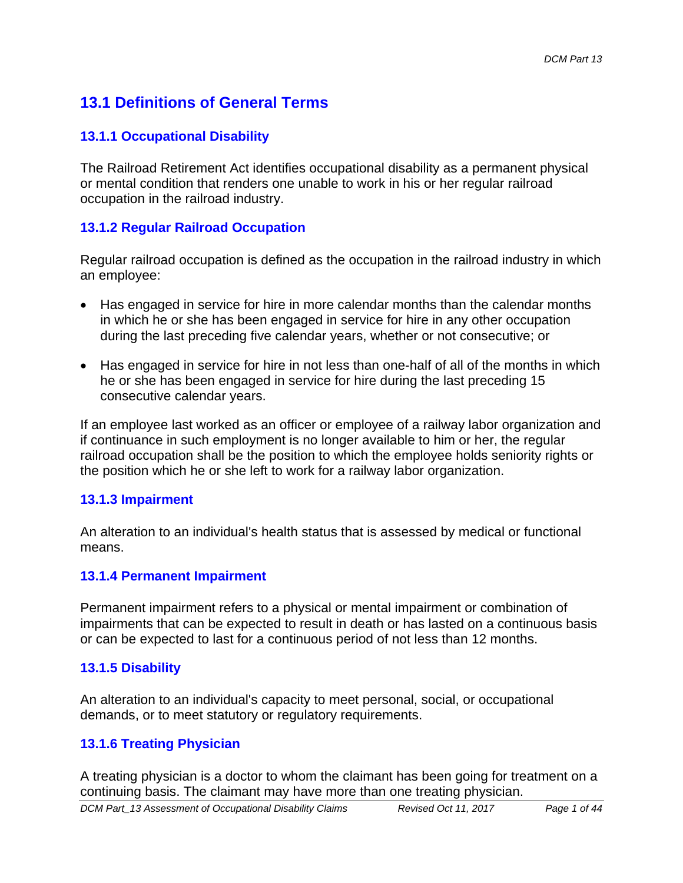# **13.1 Definitions of General Terms**

### **13.1.1 Occupational Disability**

The Railroad Retirement Act identifies occupational disability as a permanent physical or mental condition that renders one unable to work in his or her regular railroad occupation in the railroad industry.

### **13.1.2 Regular Railroad Occupation**

Regular railroad occupation is defined as the occupation in the railroad industry in which an employee:

- Has engaged in service for hire in more calendar months than the calendar months in which he or she has been engaged in service for hire in any other occupation during the last preceding five calendar years, whether or not consecutive; or
- Has engaged in service for hire in not less than one-half of all of the months in which he or she has been engaged in service for hire during the last preceding 15 consecutive calendar years.

If an employee last worked as an officer or employee of a railway labor organization and if continuance in such employment is no longer available to him or her, the regular railroad occupation shall be the position to which the employee holds seniority rights or the position which he or she left to work for a railway labor organization.

#### **13.1.3 Impairment**

An alteration to an individual's health status that is assessed by medical or functional means.

#### **13.1.4 Permanent Impairment**

Permanent impairment refers to a physical or mental impairment or combination of impairments that can be expected to result in death or has lasted on a continuous basis or can be expected to last for a continuous period of not less than 12 months.

### **13.1.5 Disability**

An alteration to an individual's capacity to meet personal, social, or occupational demands, or to meet statutory or regulatory requirements.

### **13.1.6 Treating Physician**

A treating physician is a doctor to whom the claimant has been going for treatment on a continuing basis. The claimant may have more than one treating physician.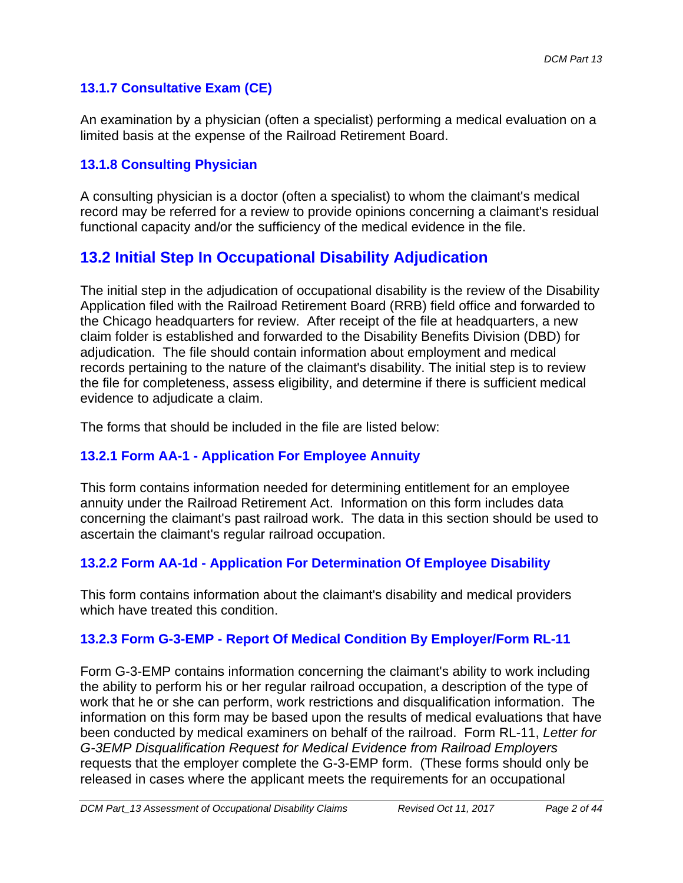## **13.1.7 Consultative Exam (CE)**

An examination by a physician (often a specialist) performing a medical evaluation on a limited basis at the expense of the Railroad Retirement Board.

### **13.1.8 Consulting Physician**

A consulting physician is a doctor (often a specialist) to whom the claimant's medical record may be referred for a review to provide opinions concerning a claimant's residual functional capacity and/or the sufficiency of the medical evidence in the file.

# **13.2 Initial Step In Occupational Disability Adjudication**

The initial step in the adjudication of occupational disability is the review of the Disability Application filed with the Railroad Retirement Board (RRB) field office and forwarded to the Chicago headquarters for review. After receipt of the file at headquarters, a new claim folder is established and forwarded to the Disability Benefits Division (DBD) for adjudication. The file should contain information about employment and medical records pertaining to the nature of the claimant's disability. The initial step is to review the file for completeness, assess eligibility, and determine if there is sufficient medical evidence to adjudicate a claim.

The forms that should be included in the file are listed below:

### **13.2.1 Form AA-1 - Application For Employee Annuity**

This form contains information needed for determining entitlement for an employee annuity under the Railroad Retirement Act. Information on this form includes data concerning the claimant's past railroad work. The data in this section should be used to ascertain the claimant's regular railroad occupation.

## **13.2.2 Form AA-1d - Application For Determination Of Employee Disability**

This form contains information about the claimant's disability and medical providers which have treated this condition

## **13.2.3 Form G-3-EMP - Report Of Medical Condition By Employer/Form RL-11**

Form G-3-EMP contains information concerning the claimant's ability to work including the ability to perform his or her regular railroad occupation, a description of the type of work that he or she can perform, work restrictions and disqualification information. The information on this form may be based upon the results of medical evaluations that have been conducted by medical examiners on behalf of the railroad. Form RL-11, *Letter for G-3EMP Disqualification Request for Medical Evidence from Railroad Employers*  requests that the employer complete the G-3-EMP form. (These forms should only be released in cases where the applicant meets the requirements for an occupational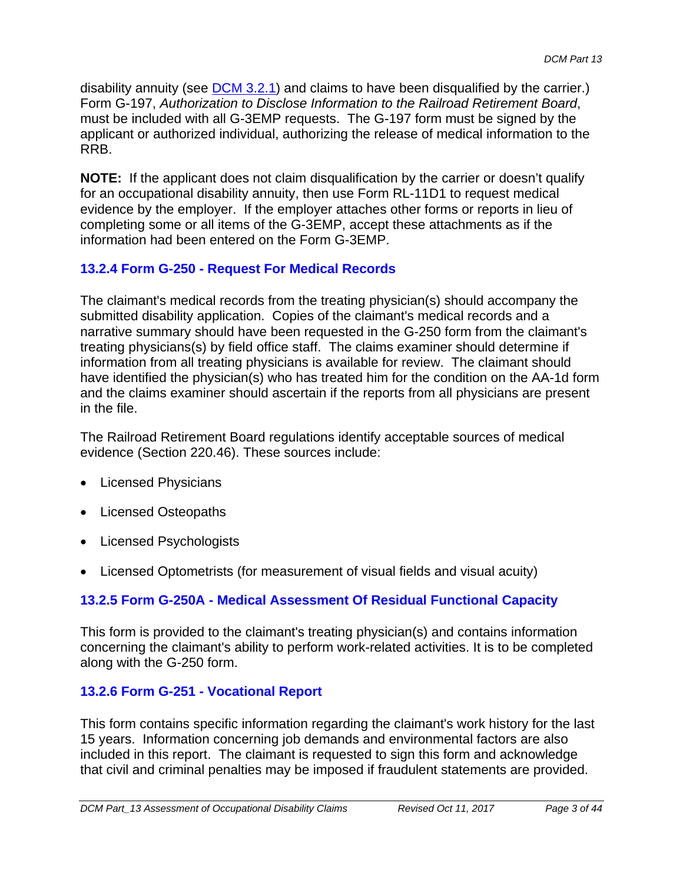disability annuity (see DCM 3.2.1) and claims to have been disqualified by the carrier.) Form G-197, *Authorization to Disclose Information to the Railroad Retirement Board*, must be included with all G-3EMP requests. The G-197 form must be signed by the applicant or authorized individual, authorizing the release of medical information to the RRB.

**NOTE:** If the applicant does not claim disqualification by the carrier or doesn't qualify for an occupational disability annuity, then use Form RL-11D1 to request medical evidence by the employer. If the employer attaches other forms or reports in lieu of completing some or all items of the G-3EMP, accept these attachments as if the information had been entered on the Form G-3EMP.

## **13.2.4 Form G-250 - Request For Medical Records**

The claimant's medical records from the treating physician(s) should accompany the submitted disability application. Copies of the claimant's medical records and a narrative summary should have been requested in the G-250 form from the claimant's treating physicians(s) by field office staff. The claims examiner should determine if information from all treating physicians is available for review. The claimant should have identified the physician(s) who has treated him for the condition on the AA-1d form and the claims examiner should ascertain if the reports from all physicians are present in the file.

The Railroad Retirement Board regulations identify acceptable sources of medical evidence (Section 220.46). These sources include:

- Licensed Physicians
- Licensed Osteopaths
- Licensed Psychologists
- Licensed Optometrists (for measurement of visual fields and visual acuity)

## **13.2.5 Form G-250A - Medical Assessment Of Residual Functional Capacity**

This form is provided to the claimant's treating physician(s) and contains information concerning the claimant's ability to perform work-related activities. It is to be completed along with the G-250 form.

## **13.2.6 Form G-251 - Vocational Report**

This form contains specific information regarding the claimant's work history for the last 15 years. Information concerning job demands and environmental factors are also included in this report. The claimant is requested to sign this form and acknowledge that civil and criminal penalties may be imposed if fraudulent statements are provided.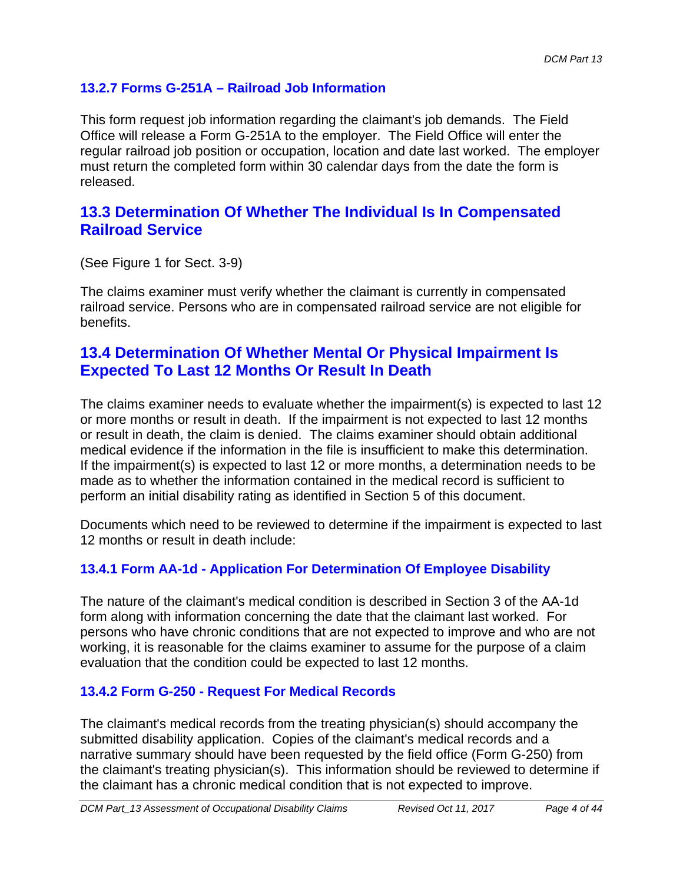## **13.2.7 Forms G-251A – Railroad Job Information**

This form request job information regarding the claimant's job demands. The Field Office will release a Form G-251A to the employer. The Field Office will enter the regular railroad job position or occupation, location and date last worked. The employer must return the completed form within 30 calendar days from the date the form is released.

## **13.3 Determination Of Whether The Individual Is In Compensated Railroad Service**

(See Figure 1 for Sect. 3-9)

The claims examiner must verify whether the claimant is currently in compensated railroad service. Persons who are in compensated railroad service are not eligible for benefits.

## **13.4 Determination Of Whether Mental Or Physical Impairment Is Expected To Last 12 Months Or Result In Death**

The claims examiner needs to evaluate whether the impairment(s) is expected to last 12 or more months or result in death. If the impairment is not expected to last 12 months or result in death, the claim is denied. The claims examiner should obtain additional medical evidence if the information in the file is insufficient to make this determination. If the impairment(s) is expected to last 12 or more months, a determination needs to be made as to whether the information contained in the medical record is sufficient to perform an initial disability rating as identified in Section 5 of this document.

Documents which need to be reviewed to determine if the impairment is expected to last 12 months or result in death include:

## **13.4.1 Form AA-1d - Application For Determination Of Employee Disability**

The nature of the claimant's medical condition is described in Section 3 of the AA-1d form along with information concerning the date that the claimant last worked. For persons who have chronic conditions that are not expected to improve and who are not working, it is reasonable for the claims examiner to assume for the purpose of a claim evaluation that the condition could be expected to last 12 months.

### **13.4.2 Form G-250 - Request For Medical Records**

The claimant's medical records from the treating physician(s) should accompany the submitted disability application. Copies of the claimant's medical records and a narrative summary should have been requested by the field office (Form G-250) from the claimant's treating physician(s). This information should be reviewed to determine if the claimant has a chronic medical condition that is not expected to improve.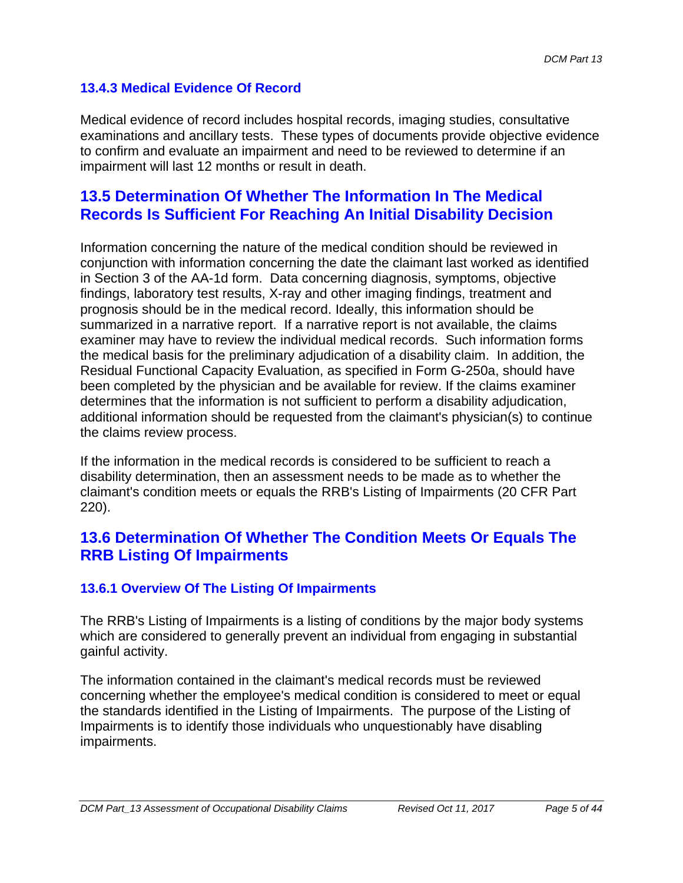## **13.4.3 Medical Evidence Of Record**

Medical evidence of record includes hospital records, imaging studies, consultative examinations and ancillary tests. These types of documents provide objective evidence to confirm and evaluate an impairment and need to be reviewed to determine if an impairment will last 12 months or result in death.

## **13.5 Determination Of Whether The Information In The Medical Records Is Sufficient For Reaching An Initial Disability Decision**

Information concerning the nature of the medical condition should be reviewed in conjunction with information concerning the date the claimant last worked as identified in Section 3 of the AA-1d form. Data concerning diagnosis, symptoms, objective findings, laboratory test results, X-ray and other imaging findings, treatment and prognosis should be in the medical record. Ideally, this information should be summarized in a narrative report. If a narrative report is not available, the claims examiner may have to review the individual medical records. Such information forms the medical basis for the preliminary adjudication of a disability claim. In addition, the Residual Functional Capacity Evaluation, as specified in Form G-250a, should have been completed by the physician and be available for review. If the claims examiner determines that the information is not sufficient to perform a disability adjudication, additional information should be requested from the claimant's physician(s) to continue the claims review process.

If the information in the medical records is considered to be sufficient to reach a disability determination, then an assessment needs to be made as to whether the claimant's condition meets or equals the RRB's Listing of Impairments (20 CFR Part 220).

# **13.6 Determination Of Whether The Condition Meets Or Equals The RRB Listing Of Impairments**

### **13.6.1 Overview Of The Listing Of Impairments**

The RRB's Listing of Impairments is a listing of conditions by the major body systems which are considered to generally prevent an individual from engaging in substantial gainful activity.

The information contained in the claimant's medical records must be reviewed concerning whether the employee's medical condition is considered to meet or equal the standards identified in the Listing of Impairments. The purpose of the Listing of Impairments is to identify those individuals who unquestionably have disabling impairments.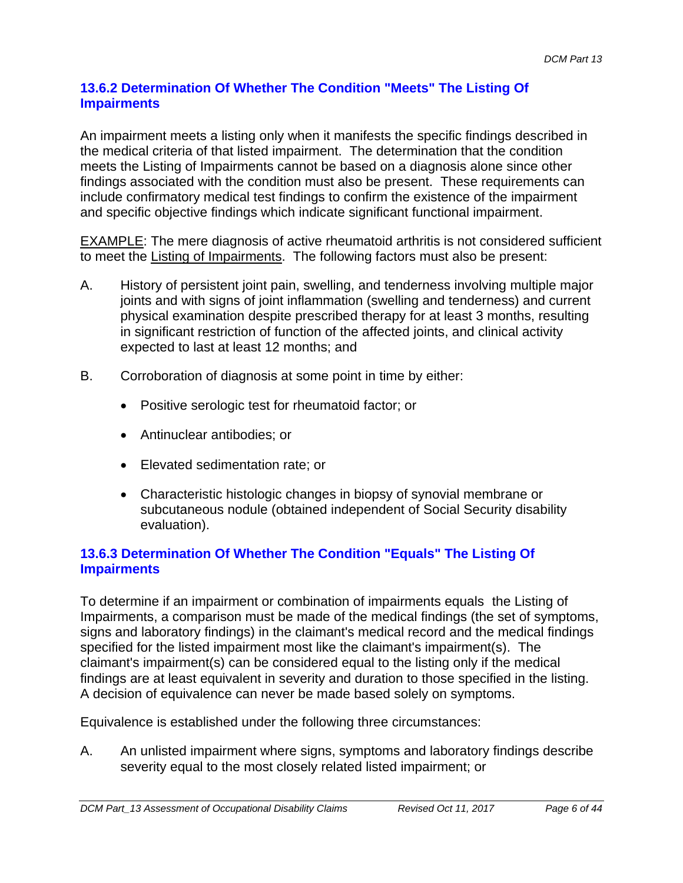### **13.6.2 Determination Of Whether The Condition "Meets" The Listing Of Impairments**

An impairment meets a listing only when it manifests the specific findings described in the medical criteria of that listed impairment. The determination that the condition meets the Listing of Impairments cannot be based on a diagnosis alone since other findings associated with the condition must also be present. These requirements can include confirmatory medical test findings to confirm the existence of the impairment and specific objective findings which indicate significant functional impairment.

EXAMPLE: The mere diagnosis of active rheumatoid arthritis is not considered sufficient to meet the Listing of Impairments. The following factors must also be present:

- A. History of persistent joint pain, swelling, and tenderness involving multiple major joints and with signs of joint inflammation (swelling and tenderness) and current physical examination despite prescribed therapy for at least 3 months, resulting in significant restriction of function of the affected joints, and clinical activity expected to last at least 12 months; and
- B. Corroboration of diagnosis at some point in time by either:
	- Positive serologic test for rheumatoid factor; or
	- Antinuclear antibodies; or
	- Elevated sedimentation rate; or
	- Characteristic histologic changes in biopsy of synovial membrane or subcutaneous nodule (obtained independent of Social Security disability evaluation).

### **13.6.3 Determination Of Whether The Condition "Equals" The Listing Of Impairments**

To determine if an impairment or combination of impairments equals the Listing of Impairments, a comparison must be made of the medical findings (the set of symptoms, signs and laboratory findings) in the claimant's medical record and the medical findings specified for the listed impairment most like the claimant's impairment(s). The claimant's impairment(s) can be considered equal to the listing only if the medical findings are at least equivalent in severity and duration to those specified in the listing. A decision of equivalence can never be made based solely on symptoms.

Equivalence is established under the following three circumstances:

A. An unlisted impairment where signs, symptoms and laboratory findings describe severity equal to the most closely related listed impairment; or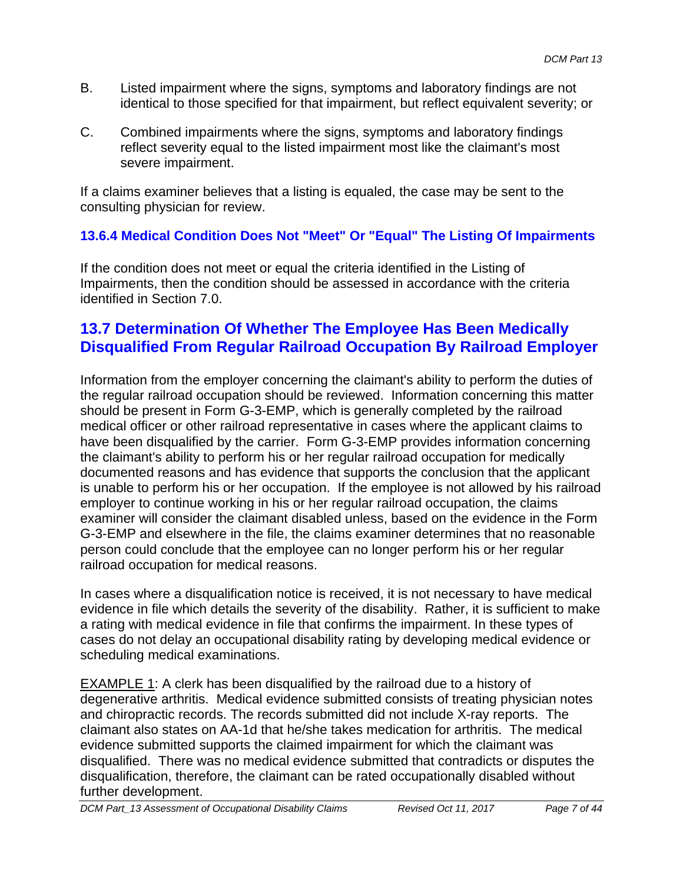- B. Listed impairment where the signs, symptoms and laboratory findings are not identical to those specified for that impairment, but reflect equivalent severity; or
- C. Combined impairments where the signs, symptoms and laboratory findings reflect severity equal to the listed impairment most like the claimant's most severe impairment.

If a claims examiner believes that a listing is equaled, the case may be sent to the consulting physician for review.

## **13.6.4 Medical Condition Does Not "Meet" Or "Equal" The Listing Of Impairments**

If the condition does not meet or equal the criteria identified in the Listing of Impairments, then the condition should be assessed in accordance with the criteria identified in Section 7.0.

# **13.7 Determination Of Whether The Employee Has Been Medically Disqualified From Regular Railroad Occupation By Railroad Employer**

Information from the employer concerning the claimant's ability to perform the duties of the regular railroad occupation should be reviewed. Information concerning this matter should be present in Form G-3-EMP, which is generally completed by the railroad medical officer or other railroad representative in cases where the applicant claims to have been disqualified by the carrier. Form G-3-EMP provides information concerning the claimant's ability to perform his or her regular railroad occupation for medically documented reasons and has evidence that supports the conclusion that the applicant is unable to perform his or her occupation. If the employee is not allowed by his railroad employer to continue working in his or her regular railroad occupation, the claims examiner will consider the claimant disabled unless, based on the evidence in the Form G-3-EMP and elsewhere in the file, the claims examiner determines that no reasonable person could conclude that the employee can no longer perform his or her regular railroad occupation for medical reasons.

scheduling medical examinations. In cases where a disqualification notice is received, it is not necessary to have medical evidence in file which details the severity of the disability. Rather, it is sufficient to make a rating with medical evidence in file that confirms the impairment. In these types of cases do not delay an occupational disability rating by developing medical evidence or

EXAMPLE 1: A clerk has been disqualified by the railroad due to a history of degenerative arthritis. Medical evidence submitted consists of treating physician notes and chiropractic records. The records submitted did not include X-ray reports. The claimant also states on AA-1d that he/she takes medication for arthritis. The medical evidence submitted supports the claimed impairment for which the claimant was disqualified. There was no medical evidence submitted that contradicts or disputes the disqualification, therefore, the claimant can be rated occupationally disabled without further development.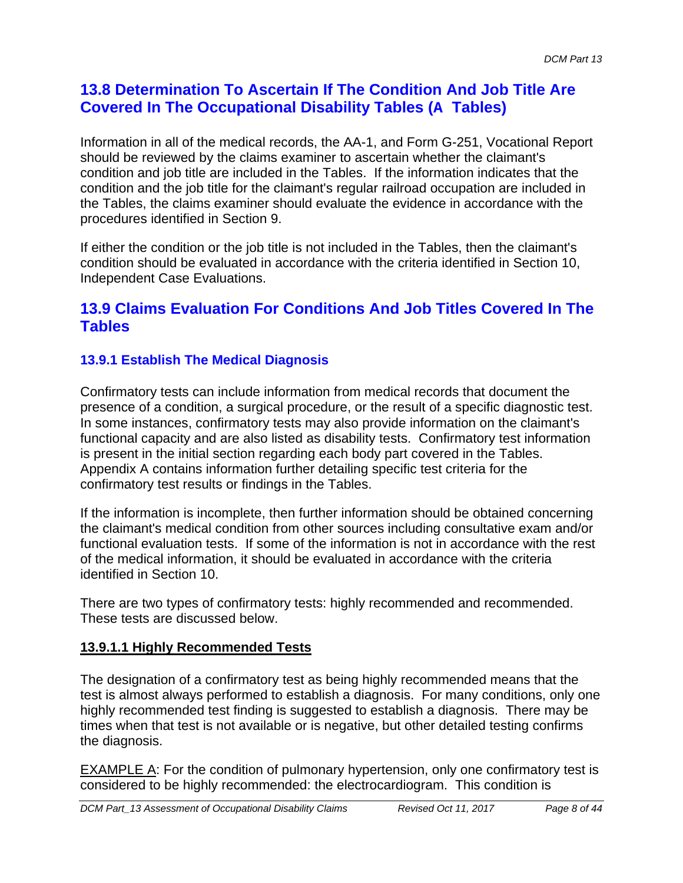# **13.8 Determination To Ascertain If The Condition And Job Title Are Covered In The Occupational Disability Tables (A Tables)**

Information in all of the medical records, the AA-1, and Form G-251, Vocational Report should be reviewed by the claims examiner to ascertain whether the claimant's condition and job title are included in the Tables. If the information indicates that the condition and the job title for the claimant's regular railroad occupation are included in the Tables, the claims examiner should evaluate the evidence in accordance with the procedures identified in Section 9.

If either the condition or the job title is not included in the Tables, then the claimant's condition should be evaluated in accordance with the criteria identified in Section 10, Independent Case Evaluations.

## **13.9 Claims Evaluation For Conditions And Job Titles Covered In The Tables**

## **13.9.1 Establish The Medical Diagnosis**

Confirmatory tests can include information from medical records that document the presence of a condition, a surgical procedure, or the result of a specific diagnostic test. In some instances, confirmatory tests may also provide information on the claimant's functional capacity and are also listed as disability tests. Confirmatory test information is present in the initial section regarding each body part covered in the Tables. Appendix A contains information further detailing specific test criteria for the confirmatory test results or findings in the Tables.

If the information is incomplete, then further information should be obtained concerning the claimant's medical condition from other sources including consultative exam and/or functional evaluation tests. If some of the information is not in accordance with the rest of the medical information, it should be evaluated in accordance with the criteria identified in Section 10.

There are two types of confirmatory tests: highly recommended and recommended. These tests are discussed below.

### **13.9.1.1 Highly Recommended Tests**

The designation of a confirmatory test as being highly recommended means that the test is almost always performed to establish a diagnosis. For many conditions, only one highly recommended test finding is suggested to establish a diagnosis. There may be times when that test is not available or is negative, but other detailed testing confirms the diagnosis.

EXAMPLE A: For the condition of pulmonary hypertension, only one confirmatory test is considered to be highly recommended: the electrocardiogram. This condition is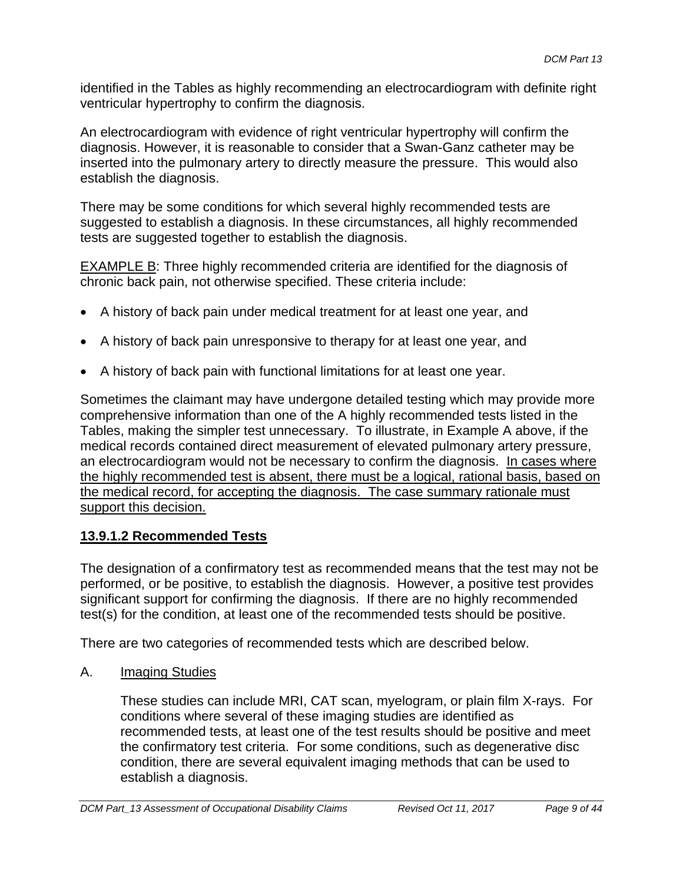identified in the Tables as highly recommending an electrocardiogram with definite right ventricular hypertrophy to confirm the diagnosis.

An electrocardiogram with evidence of right ventricular hypertrophy will confirm the diagnosis. However, it is reasonable to consider that a Swan-Ganz catheter may be inserted into the pulmonary artery to directly measure the pressure. This would also establish the diagnosis.

There may be some conditions for which several highly recommended tests are suggested to establish a diagnosis. In these circumstances, all highly recommended tests are suggested together to establish the diagnosis.

EXAMPLE B: Three highly recommended criteria are identified for the diagnosis of chronic back pain, not otherwise specified. These criteria include:

- A history of back pain under medical treatment for at least one year, and
- A history of back pain unresponsive to therapy for at least one year, and
- A history of back pain with functional limitations for at least one year.

Sometimes the claimant may have undergone detailed testing which may provide more comprehensive information than one of the A highly recommended tests listed in the Tables, making the simpler test unnecessary. To illustrate, in Example A above, if the medical records contained direct measurement of elevated pulmonary artery pressure, an electrocardiogram would not be necessary to confirm the diagnosis. In cases where the highly recommended test is absent, there must be a logical, rational basis, based on the medical record, for accepting the diagnosis. The case summary rationale must support this decision.

### **13.9.1.2 Recommended Tests**

The designation of a confirmatory test as recommended means that the test may not be performed, or be positive, to establish the diagnosis. However, a positive test provides significant support for confirming the diagnosis. If there are no highly recommended test(s) for the condition, at least one of the recommended tests should be positive.

There are two categories of recommended tests which are described below.

A. Imaging Studies

These studies can include MRI, CAT scan, myelogram, or plain film X-rays. For conditions where several of these imaging studies are identified as recommended tests, at least one of the test results should be positive and meet the confirmatory test criteria. For some conditions, such as degenerative disc condition, there are several equivalent imaging methods that can be used to establish a diagnosis.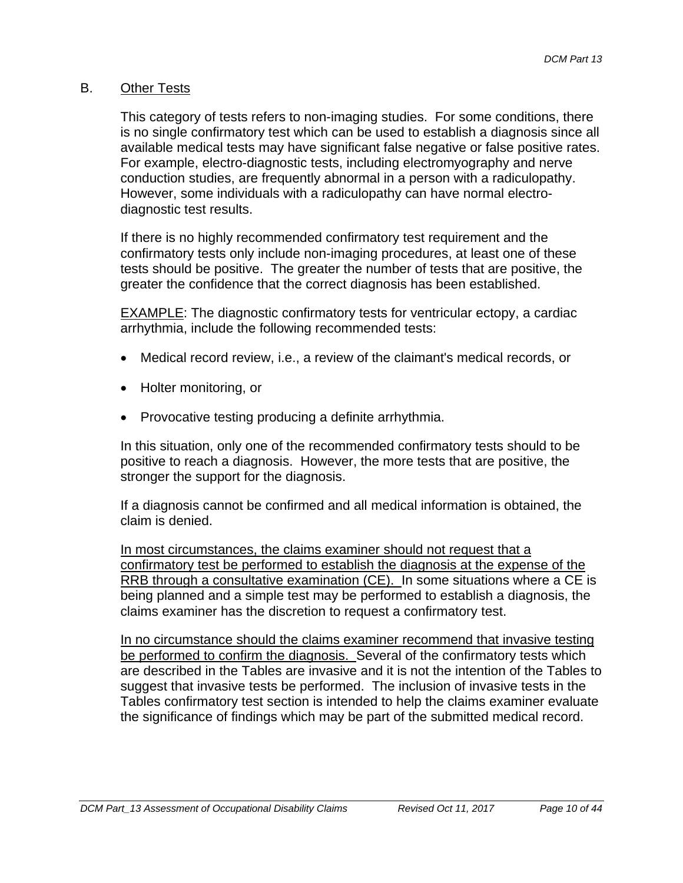### B. Other Tests

This category of tests refers to non-imaging studies. For some conditions, there is no single confirmatory test which can be used to establish a diagnosis since all available medical tests may have significant false negative or false positive rates. For example, electro-diagnostic tests, including electromyography and nerve conduction studies, are frequently abnormal in a person with a radiculopathy. However, some individuals with a radiculopathy can have normal electrodiagnostic test results.

If there is no highly recommended confirmatory test requirement and the confirmatory tests only include non-imaging procedures, at least one of these tests should be positive. The greater the number of tests that are positive, the greater the confidence that the correct diagnosis has been established.

EXAMPLE: The diagnostic confirmatory tests for ventricular ectopy, a cardiac arrhythmia, include the following recommended tests:

- Medical record review, i.e., a review of the claimant's medical records, or
- Holter monitoring, or
- Provocative testing producing a definite arrhythmia.

In this situation, only one of the recommended confirmatory tests should to be positive to reach a diagnosis. However, the more tests that are positive, the stronger the support for the diagnosis.

If a diagnosis cannot be confirmed and all medical information is obtained, the claim is denied.

In most circumstances, the claims examiner should not request that a confirmatory test be performed to establish the diagnosis at the expense of the RRB through a consultative examination (CE). In some situations where a CE is being planned and a simple test may be performed to establish a diagnosis, the claims examiner has the discretion to request a confirmatory test.

In no circumstance should the claims examiner recommend that invasive testing be performed to confirm the diagnosis. Several of the confirmatory tests which are described in the Tables are invasive and it is not the intention of the Tables to suggest that invasive tests be performed. The inclusion of invasive tests in the Tables confirmatory test section is intended to help the claims examiner evaluate the significance of findings which may be part of the submitted medical record.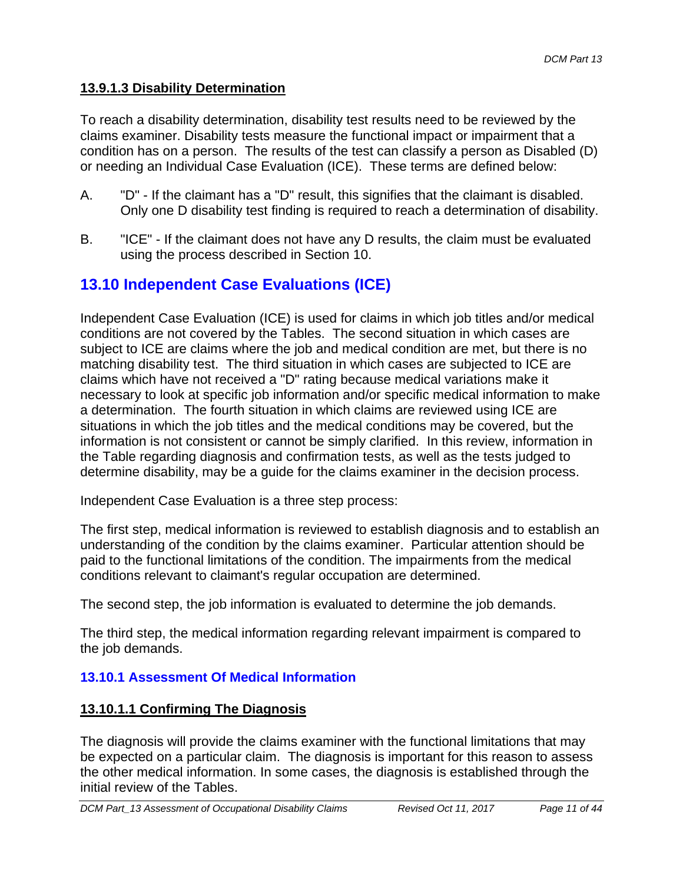### **13.9.1.3 Disability Determination**

To reach a disability determination, disability test results need to be reviewed by the claims examiner. Disability tests measure the functional impact or impairment that a condition has on a person. The results of the test can classify a person as Disabled (D) or needing an Individual Case Evaluation (ICE). These terms are defined below:

- A. "D" If the claimant has a "D" result, this signifies that the claimant is disabled. Only one D disability test finding is required to reach a determination of disability.
- B. "ICE" If the claimant does not have any D results, the claim must be evaluated using the process described in Section 10.

# **13.10 Independent Case Evaluations (ICE)**

Independent Case Evaluation (ICE) is used for claims in which job titles and/or medical conditions are not covered by the Tables. The second situation in which cases are subject to ICE are claims where the job and medical condition are met, but there is no matching disability test. The third situation in which cases are subjected to ICE are claims which have not received a "D" rating because medical variations make it necessary to look at specific job information and/or specific medical information to make a determination. The fourth situation in which claims are reviewed using ICE are situations in which the job titles and the medical conditions may be covered, but the information is not consistent or cannot be simply clarified. In this review, information in the Table regarding diagnosis and confirmation tests, as well as the tests judged to determine disability, may be a guide for the claims examiner in the decision process.

Independent Case Evaluation is a three step process:

The first step, medical information is reviewed to establish diagnosis and to establish an understanding of the condition by the claims examiner. Particular attention should be paid to the functional limitations of the condition. The impairments from the medical conditions relevant to claimant's regular occupation are determined.

The second step, the job information is evaluated to determine the job demands.

The third step, the medical information regarding relevant impairment is compared to the job demands.

### **13.10.1 Assessment Of Medical Information**

#### **13.10.1.1 Confirming The Diagnosis**

The diagnosis will provide the claims examiner with the functional limitations that may be expected on a particular claim. The diagnosis is important for this reason to assess the other medical information. In some cases, the diagnosis is established through the initial review of the Tables.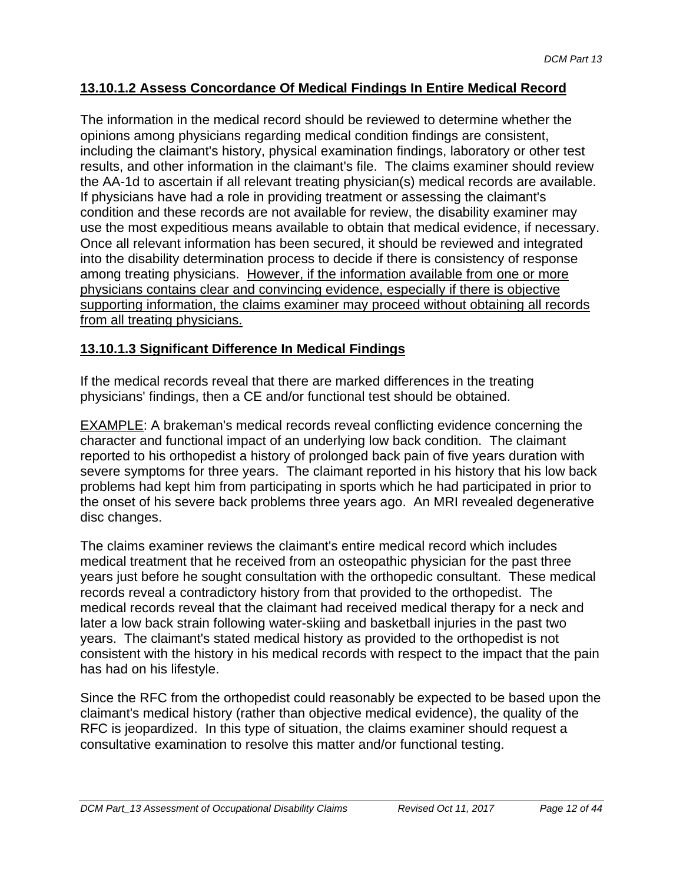### **13.10.1.2 Assess Concordance Of Medical Findings In Entire Medical Record**

The information in the medical record should be reviewed to determine whether the opinions among physicians regarding medical condition findings are consistent, including the claimant's history, physical examination findings, laboratory or other test results, and other information in the claimant's file. The claims examiner should review the AA-1d to ascertain if all relevant treating physician(s) medical records are available. If physicians have had a role in providing treatment or assessing the claimant's condition and these records are not available for review, the disability examiner may use the most expeditious means available to obtain that medical evidence, if necessary. Once all relevant information has been secured, it should be reviewed and integrated into the disability determination process to decide if there is consistency of response among treating physicians. However, if the information available from one or more physicians contains clear and convincing evidence, especially if there is objective supporting information, the claims examiner may proceed without obtaining all records from all treating physicians.

### **13.10.1.3 Significant Difference In Medical Findings**

If the medical records reveal that there are marked differences in the treating physicians' findings, then a CE and/or functional test should be obtained.

EXAMPLE: A brakeman's medical records reveal conflicting evidence concerning the character and functional impact of an underlying low back condition. The claimant reported to his orthopedist a history of prolonged back pain of five years duration with severe symptoms for three years. The claimant reported in his history that his low back problems had kept him from participating in sports which he had participated in prior to the onset of his severe back problems three years ago. An MRI revealed degenerative disc changes.

The claims examiner reviews the claimant's entire medical record which includes medical treatment that he received from an osteopathic physician for the past three years just before he sought consultation with the orthopedic consultant. These medical records reveal a contradictory history from that provided to the orthopedist. The medical records reveal that the claimant had received medical therapy for a neck and later a low back strain following water-skiing and basketball injuries in the past two years. The claimant's stated medical history as provided to the orthopedist is not consistent with the history in his medical records with respect to the impact that the pain has had on his lifestyle.

Since the RFC from the orthopedist could reasonably be expected to be based upon the claimant's medical history (rather than objective medical evidence), the quality of the RFC is jeopardized. In this type of situation, the claims examiner should request a consultative examination to resolve this matter and/or functional testing.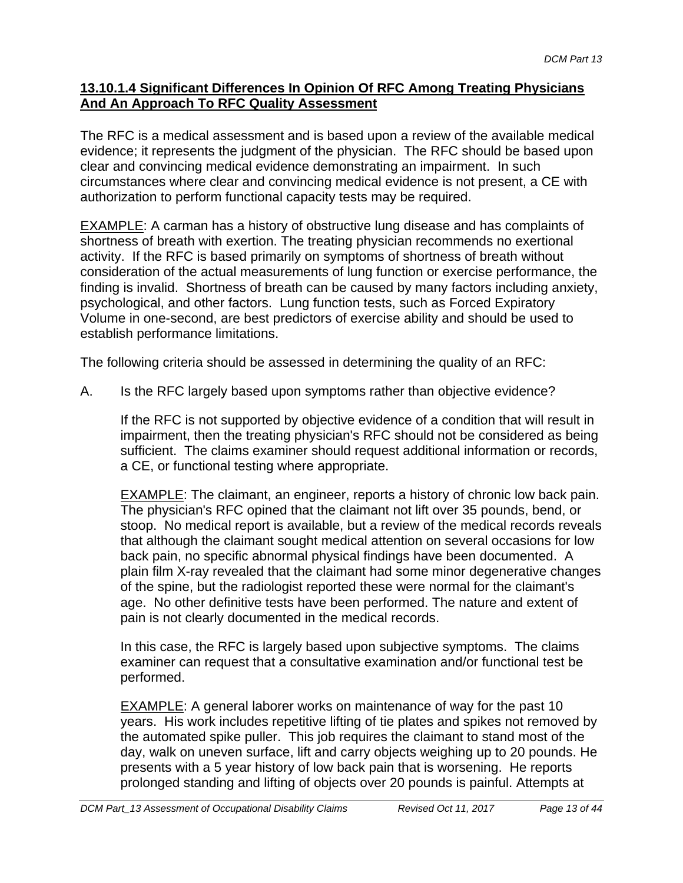### **13.10.1.4 Significant Differences In Opinion Of RFC Among Treating Physicians And An Approach To RFC Quality Assessment**

The RFC is a medical assessment and is based upon a review of the available medical evidence; it represents the judgment of the physician. The RFC should be based upon clear and convincing medical evidence demonstrating an impairment. In such circumstances where clear and convincing medical evidence is not present, a CE with authorization to perform functional capacity tests may be required.

EXAMPLE: A carman has a history of obstructive lung disease and has complaints of shortness of breath with exertion. The treating physician recommends no exertional activity. If the RFC is based primarily on symptoms of shortness of breath without consideration of the actual measurements of lung function or exercise performance, the finding is invalid. Shortness of breath can be caused by many factors including anxiety, psychological, and other factors. Lung function tests, such as Forced Expiratory Volume in one-second, are best predictors of exercise ability and should be used to establish performance limitations.

The following criteria should be assessed in determining the quality of an RFC:

A. Is the RFC largely based upon symptoms rather than objective evidence?

If the RFC is not supported by objective evidence of a condition that will result in impairment, then the treating physician's RFC should not be considered as being sufficient. The claims examiner should request additional information or records, a CE, or functional testing where appropriate.

**EXAMPLE:** The claimant, an engineer, reports a history of chronic low back pain. The physician's RFC opined that the claimant not lift over 35 pounds, bend, or stoop. No medical report is available, but a review of the medical records reveals that although the claimant sought medical attention on several occasions for low back pain, no specific abnormal physical findings have been documented. A plain film X-ray revealed that the claimant had some minor degenerative changes of the spine, but the radiologist reported these were normal for the claimant's age. No other definitive tests have been performed. The nature and extent of pain is not clearly documented in the medical records.

In this case, the RFC is largely based upon subjective symptoms. The claims examiner can request that a consultative examination and/or functional test be performed.

EXAMPLE: A general laborer works on maintenance of way for the past 10 years. His work includes repetitive lifting of tie plates and spikes not removed by the automated spike puller. This job requires the claimant to stand most of the day, walk on uneven surface, lift and carry objects weighing up to 20 pounds. He presents with a 5 year history of low back pain that is worsening. He reports prolonged standing and lifting of objects over 20 pounds is painful. Attempts at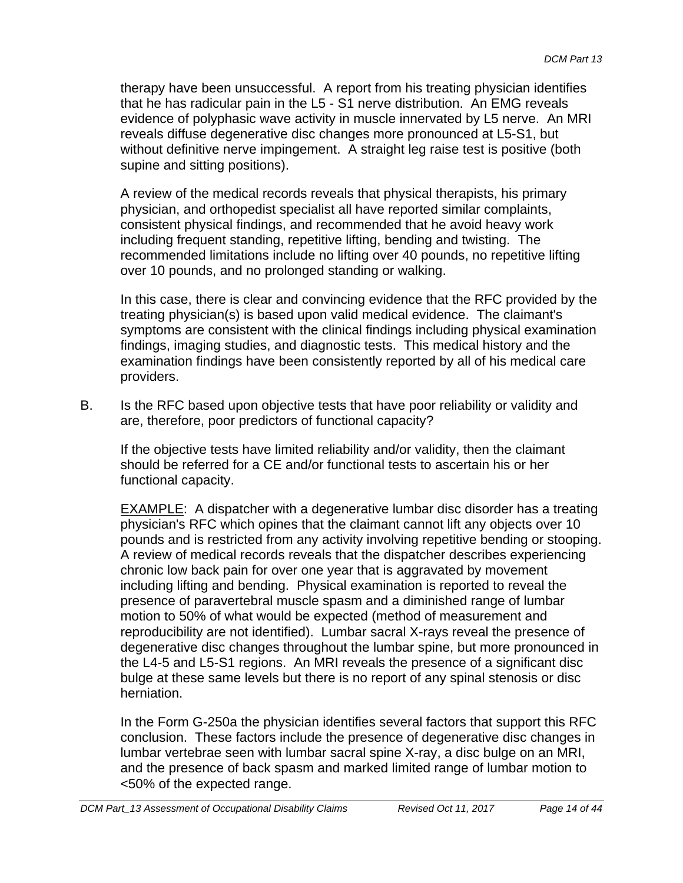therapy have been unsuccessful. A report from his treating physician identifies that he has radicular pain in the L5 - S1 nerve distribution. An EMG reveals evidence of polyphasic wave activity in muscle innervated by L5 nerve. An MRI reveals diffuse degenerative disc changes more pronounced at L5-S1, but without definitive nerve impingement. A straight leg raise test is positive (both supine and sitting positions).

A review of the medical records reveals that physical therapists, his primary physician, and orthopedist specialist all have reported similar complaints, consistent physical findings, and recommended that he avoid heavy work including frequent standing, repetitive lifting, bending and twisting. The recommended limitations include no lifting over 40 pounds, no repetitive lifting over 10 pounds, and no prolonged standing or walking.

In this case, there is clear and convincing evidence that the RFC provided by the treating physician(s) is based upon valid medical evidence. The claimant's symptoms are consistent with the clinical findings including physical examination findings, imaging studies, and diagnostic tests. This medical history and the examination findings have been consistently reported by all of his medical care providers.

B. Is the RFC based upon objective tests that have poor reliability or validity and are, therefore, poor predictors of functional capacity?

If the objective tests have limited reliability and/or validity, then the claimant should be referred for a CE and/or functional tests to ascertain his or her functional capacity.

EXAMPLE: A dispatcher with a degenerative lumbar disc disorder has a treating physician's RFC which opines that the claimant cannot lift any objects over 10 pounds and is restricted from any activity involving repetitive bending or stooping. A review of medical records reveals that the dispatcher describes experiencing chronic low back pain for over one year that is aggravated by movement including lifting and bending. Physical examination is reported to reveal the presence of paravertebral muscle spasm and a diminished range of lumbar motion to 50% of what would be expected (method of measurement and reproducibility are not identified). Lumbar sacral X-rays reveal the presence of degenerative disc changes throughout the lumbar spine, but more pronounced in the L4-5 and L5-S1 regions. An MRI reveals the presence of a significant disc bulge at these same levels but there is no report of any spinal stenosis or disc herniation.

In the Form G-250a the physician identifies several factors that support this RFC conclusion. These factors include the presence of degenerative disc changes in lumbar vertebrae seen with lumbar sacral spine X-ray, a disc bulge on an MRI, and the presence of back spasm and marked limited range of lumbar motion to <50% of the expected range.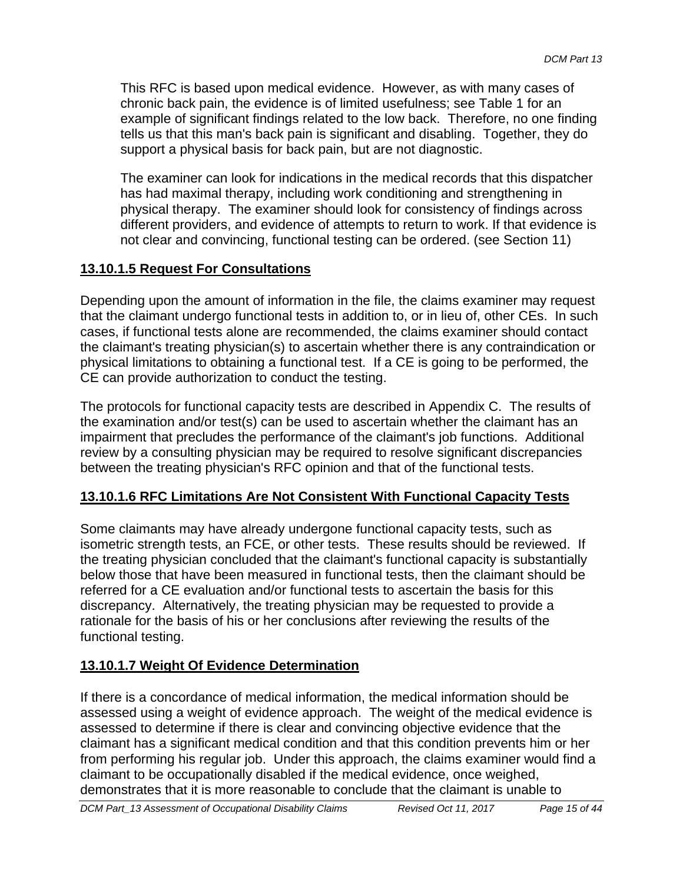This RFC is based upon medical evidence. However, as with many cases of chronic back pain, the evidence is of limited usefulness; see Table 1 for an example of significant findings related to the low back. Therefore, no one finding tells us that this man's back pain is significant and disabling. Together, they do support a physical basis for back pain, but are not diagnostic.

 not clear and convincing, functional testing can be ordered. (see Section 11) The examiner can look for indications in the medical records that this dispatcher has had maximal therapy, including work conditioning and strengthening in physical therapy. The examiner should look for consistency of findings across different providers, and evidence of attempts to return to work. If that evidence is

## **13.10.1.5 Request For Consultations**

Depending upon the amount of information in the file, the claims examiner may request that the claimant undergo functional tests in addition to, or in lieu of, other CEs. In such cases, if functional tests alone are recommended, the claims examiner should contact the claimant's treating physician(s) to ascertain whether there is any contraindication or physical limitations to obtaining a functional test. If a CE is going to be performed, the CE can provide authorization to conduct the testing.

The protocols for functional capacity tests are described in Appendix C. The results of the examination and/or test(s) can be used to ascertain whether the claimant has an impairment that precludes the performance of the claimant's job functions. Additional review by a consulting physician may be required to resolve significant discrepancies between the treating physician's RFC opinion and that of the functional tests.

### **13.10.1.6 RFC Limitations Are Not Consistent With Functional Capacity Tests**

Some claimants may have already undergone functional capacity tests, such as isometric strength tests, an FCE, or other tests. These results should be reviewed. If the treating physician concluded that the claimant's functional capacity is substantially below those that have been measured in functional tests, then the claimant should be referred for a CE evaluation and/or functional tests to ascertain the basis for this discrepancy. Alternatively, the treating physician may be requested to provide a rationale for the basis of his or her conclusions after reviewing the results of the functional testing.

## **13.10.1.7 Weight Of Evidence Determination**

If there is a concordance of medical information, the medical information should be assessed using a weight of evidence approach. The weight of the medical evidence is assessed to determine if there is clear and convincing objective evidence that the claimant has a significant medical condition and that this condition prevents him or her from performing his regular job. Under this approach, the claims examiner would find a claimant to be occupationally disabled if the medical evidence, once weighed, demonstrates that it is more reasonable to conclude that the claimant is unable to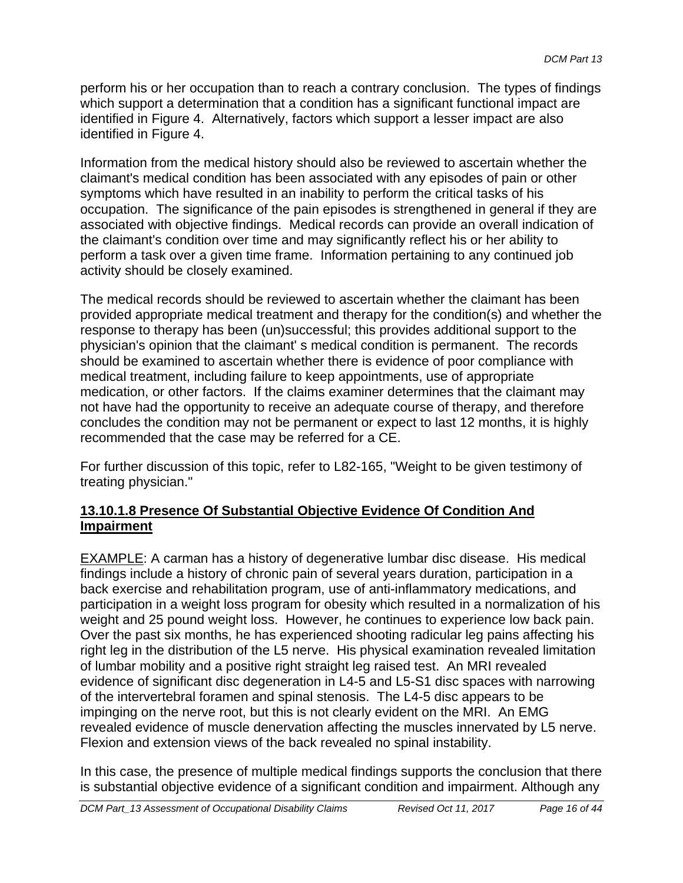perform his or her occupation than to reach a contrary conclusion. The types of findings which support a determination that a condition has a significant functional impact are identified in Figure 4. Alternatively, factors which support a lesser impact are also identified in Figure 4.

Information from the medical history should also be reviewed to ascertain whether the claimant's medical condition has been associated with any episodes of pain or other symptoms which have resulted in an inability to perform the critical tasks of his occupation. The significance of the pain episodes is strengthened in general if they are associated with objective findings. Medical records can provide an overall indication of the claimant's condition over time and may significantly reflect his or her ability to perform a task over a given time frame. Information pertaining to any continued job activity should be closely examined.

The medical records should be reviewed to ascertain whether the claimant has been provided appropriate medical treatment and therapy for the condition(s) and whether the response to therapy has been (un)successful; this provides additional support to the physician's opinion that the claimant' s medical condition is permanent. The records should be examined to ascertain whether there is evidence of poor compliance with medical treatment, including failure to keep appointments, use of appropriate medication, or other factors. If the claims examiner determines that the claimant may not have had the opportunity to receive an adequate course of therapy, and therefore concludes the condition may not be permanent or expect to last 12 months, it is highly recommended that the case may be referred for a CE.

For further discussion of this topic, refer to L82-165, "Weight to be given testimony of treating physician."

### **13.10.1.8 Presence Of Substantial Objective Evidence Of Condition And Impairment**

EXAMPLE: A carman has a history of degenerative lumbar disc disease. His medical findings include a history of chronic pain of several years duration, participation in a back exercise and rehabilitation program, use of anti-inflammatory medications, and participation in a weight loss program for obesity which resulted in a normalization of his weight and 25 pound weight loss. However, he continues to experience low back pain. Over the past six months, he has experienced shooting radicular leg pains affecting his right leg in the distribution of the L5 nerve. His physical examination revealed limitation of lumbar mobility and a positive right straight leg raised test. An MRI revealed evidence of significant disc degeneration in L4-5 and L5-S1 disc spaces with narrowing of the intervertebral foramen and spinal stenosis. The L4-5 disc appears to be impinging on the nerve root, but this is not clearly evident on the MRI. An EMG revealed evidence of muscle denervation affecting the muscles innervated by L5 nerve. Flexion and extension views of the back revealed no spinal instability.

In this case, the presence of multiple medical findings supports the conclusion that there is substantial objective evidence of a significant condition and impairment. Although any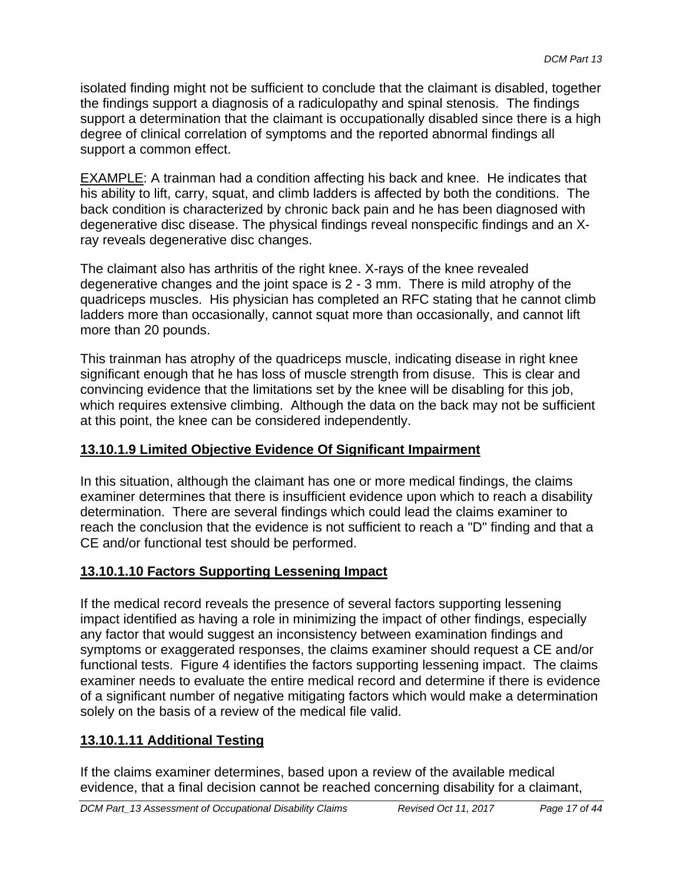isolated finding might not be sufficient to conclude that the claimant is disabled, together the findings support a diagnosis of a radiculopathy and spinal stenosis. The findings support a determination that the claimant is occupationally disabled since there is a high degree of clinical correlation of symptoms and the reported abnormal findings all support a common effect.

EXAMPLE: A trainman had a condition affecting his back and knee. He indicates that his ability to lift, carry, squat, and climb ladders is affected by both the conditions. The back condition is characterized by chronic back pain and he has been diagnosed with degenerative disc disease. The physical findings reveal nonspecific findings and an Xray reveals degenerative disc changes.

The claimant also has arthritis of the right knee. X-rays of the knee revealed degenerative changes and the joint space is 2 - 3 mm. There is mild atrophy of the quadriceps muscles. His physician has completed an RFC stating that he cannot climb ladders more than occasionally, cannot squat more than occasionally, and cannot lift more than 20 pounds.

This trainman has atrophy of the quadriceps muscle, indicating disease in right knee significant enough that he has loss of muscle strength from disuse. This is clear and convincing evidence that the limitations set by the knee will be disabling for this job, which requires extensive climbing. Although the data on the back may not be sufficient at this point, the knee can be considered independently.

### **13.10.1.9 Limited Objective Evidence Of Significant Impairment**

In this situation, although the claimant has one or more medical findings, the claims examiner determines that there is insufficient evidence upon which to reach a disability determination. There are several findings which could lead the claims examiner to reach the conclusion that the evidence is not sufficient to reach a "D" finding and that a CE and/or functional test should be performed.

### **13.10.1.10 Factors Supporting Lessening Impact**

If the medical record reveals the presence of several factors supporting lessening impact identified as having a role in minimizing the impact of other findings, especially any factor that would suggest an inconsistency between examination findings and symptoms or exaggerated responses, the claims examiner should request a CE and/or functional tests. Figure 4 identifies the factors supporting lessening impact. The claims examiner needs to evaluate the entire medical record and determine if there is evidence of a significant number of negative mitigating factors which would make a determination solely on the basis of a review of the medical file valid.

## **13.10.1.11 Additional Testing**

If the claims examiner determines, based upon a review of the available medical evidence, that a final decision cannot be reached concerning disability for a claimant,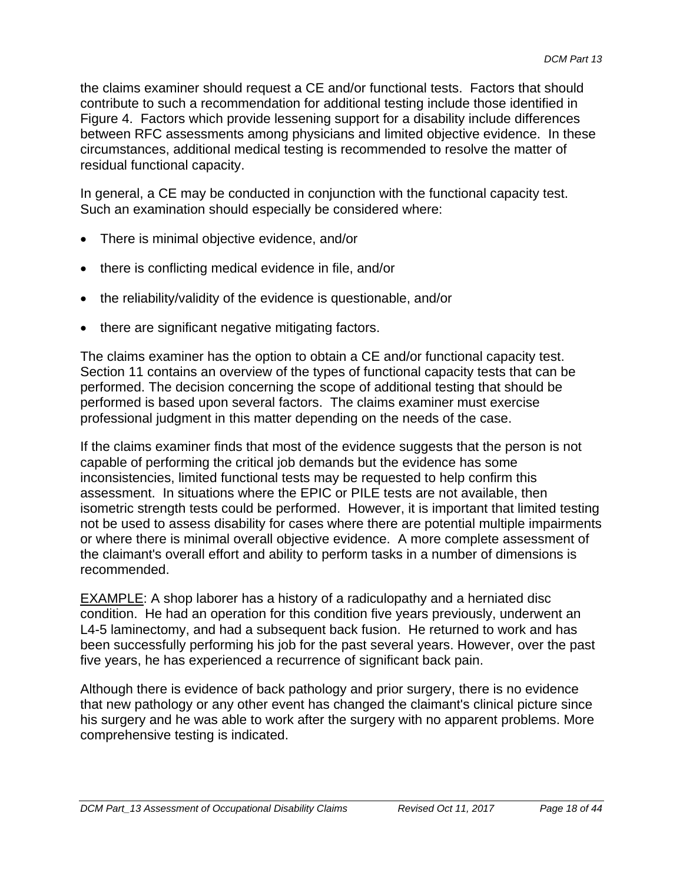the claims examiner should request a CE and/or functional tests. Factors that should contribute to such a recommendation for additional testing include those identified in Figure 4. Factors which provide lessening support for a disability include differences between RFC assessments among physicians and limited objective evidence. In these circumstances, additional medical testing is recommended to resolve the matter of residual functional capacity.

In general, a CE may be conducted in conjunction with the functional capacity test. Such an examination should especially be considered where:

- There is minimal objective evidence, and/or
- there is conflicting medical evidence in file, and/or
- the reliability/validity of the evidence is questionable, and/or
- there are significant negative mitigating factors.

The claims examiner has the option to obtain a CE and/or functional capacity test. Section 11 contains an overview of the types of functional capacity tests that can be performed. The decision concerning the scope of additional testing that should be performed is based upon several factors. The claims examiner must exercise professional judgment in this matter depending on the needs of the case.

If the claims examiner finds that most of the evidence suggests that the person is not capable of performing the critical job demands but the evidence has some inconsistencies, limited functional tests may be requested to help confirm this assessment. In situations where the EPIC or PILE tests are not available, then isometric strength tests could be performed. However, it is important that limited testing not be used to assess disability for cases where there are potential multiple impairments or where there is minimal overall objective evidence. A more complete assessment of the claimant's overall effort and ability to perform tasks in a number of dimensions is recommended.

EXAMPLE: A shop laborer has a history of a radiculopathy and a herniated disc condition. He had an operation for this condition five years previously, underwent an L4-5 laminectomy, and had a subsequent back fusion. He returned to work and has been successfully performing his job for the past several years. However, over the past five years, he has experienced a recurrence of significant back pain.

Although there is evidence of back pathology and prior surgery, there is no evidence that new pathology or any other event has changed the claimant's clinical picture since his surgery and he was able to work after the surgery with no apparent problems. More comprehensive testing is indicated.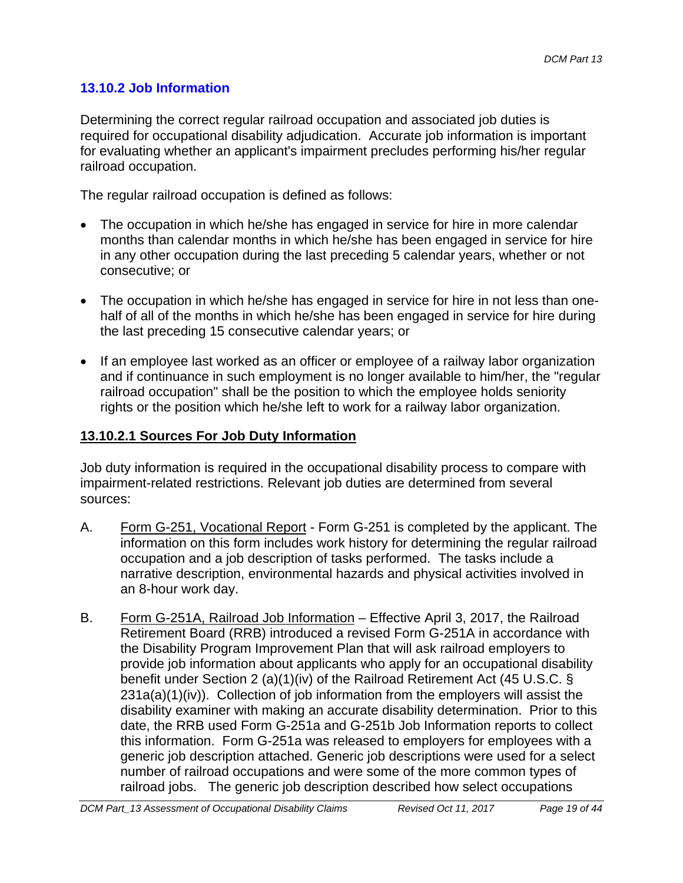## **13.10.2 Job Information**

Determining the correct regular railroad occupation and associated job duties is required for occupational disability adjudication. Accurate job information is important for evaluating whether an applicant's impairment precludes performing his/her regular railroad occupation.

The regular railroad occupation is defined as follows:

- The occupation in which he/she has engaged in service for hire in more calendar months than calendar months in which he/she has been engaged in service for hire in any other occupation during the last preceding 5 calendar years, whether or not consecutive; or
- The occupation in which he/she has engaged in service for hire in not less than onehalf of all of the months in which he/she has been engaged in service for hire during the last preceding 15 consecutive calendar years; or
- If an employee last worked as an officer or employee of a railway labor organization and if continuance in such employment is no longer available to him/her, the "regular railroad occupation" shall be the position to which the employee holds seniority rights or the position which he/she left to work for a railway labor organization.

### **13.10.2.1 Sources For Job Duty Information**

Job duty information is required in the occupational disability process to compare with impairment-related restrictions. Relevant job duties are determined from several sources:

- A. Form G-251, Vocational Report Form G-251 is completed by the applicant. The information on this form includes work history for determining the regular railroad occupation and a job description of tasks performed. The tasks include a narrative description, environmental hazards and physical activities involved in an 8-hour work day.
- B. Form G-251A, Railroad Job Information Effective April 3, 2017, the Railroad Retirement Board (RRB) introduced a revised Form G-251A in accordance with the Disability Program Improvement Plan that will ask railroad employers to provide job information about applicants who apply for an occupational disability benefit under Section 2 (a)(1)(iv) of the Railroad Retirement Act (45 U.S.C. § 231a(a)(1)(iv)). Collection of job information from the employers will assist the disability examiner with making an accurate disability determination. Prior to this date, the RRB used Form G-251a and G-251b Job Information reports to collect this information. Form G-251a was released to employers for employees with a generic job description attached. Generic job descriptions were used for a select number of railroad occupations and were some of the more common types of railroad jobs. The generic job description described how select occupations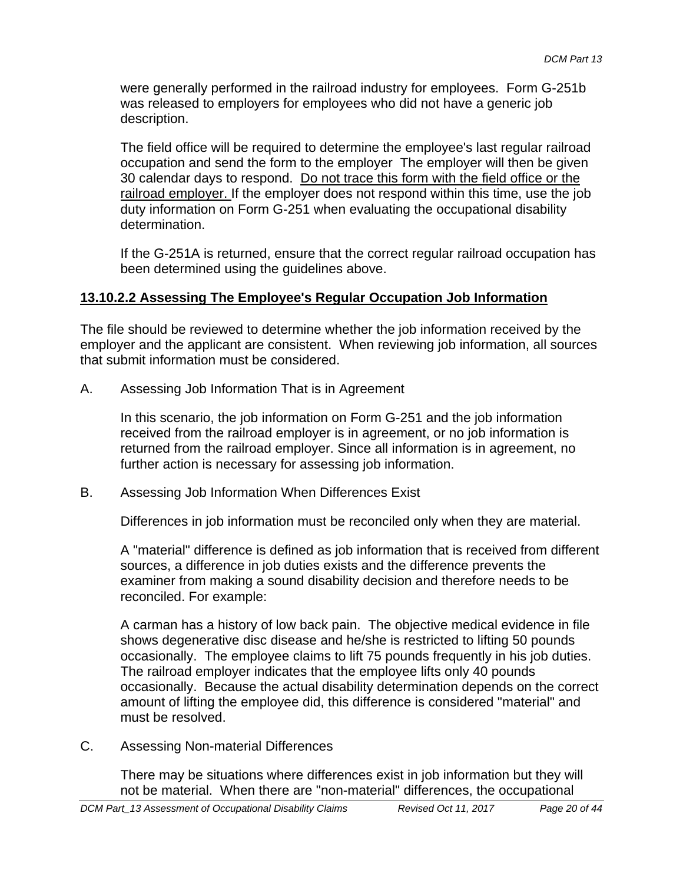description. were generally performed in the railroad industry for employees. Form G-251b was released to employers for employees who did not have a generic job

The field office will be required to determine the employee's last regular railroad occupation and send the form to the employer The employer will then be given 30 calendar days to respond. Do not trace this form with the field office or the railroad employer. If the employer does not respond within this time, use the job duty information on Form G-251 when evaluating the occupational disability determination.

If the G-251A is returned, ensure that the correct regular railroad occupation has been determined using the guidelines above.

### **13.10.2.2 Assessing The Employee's Regular Occupation Job Information**

The file should be reviewed to determine whether the job information received by the employer and the applicant are consistent. When reviewing job information, all sources that submit information must be considered.

A. Assessing Job Information That is in Agreement

In this scenario, the job information on Form G-251 and the job information received from the railroad employer is in agreement, or no job information is returned from the railroad employer. Since all information is in agreement, no further action is necessary for assessing job information.

B. Assessing Job Information When Differences Exist

Differences in job information must be reconciled only when they are material.

A "material" difference is defined as job information that is received from different sources, a difference in job duties exists and the difference prevents the examiner from making a sound disability decision and therefore needs to be reconciled. For example:

A carman has a history of low back pain. The objective medical evidence in file shows degenerative disc disease and he/she is restricted to lifting 50 pounds occasionally. The employee claims to lift 75 pounds frequently in his job duties. The railroad employer indicates that the employee lifts only 40 pounds occasionally. Because the actual disability determination depends on the correct amount of lifting the employee did, this difference is considered "material" and must be resolved.

C. Assessing Non-material Differences

There may be situations where differences exist in job information but they will not be material. When there are "non-material" differences, the occupational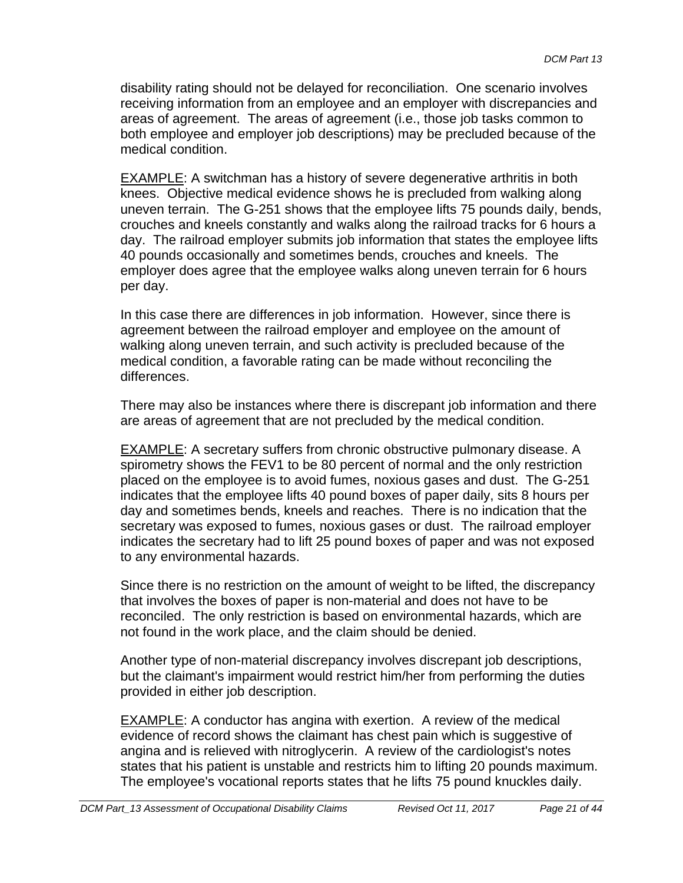disability rating should not be delayed for reconciliation. One scenario involves receiving information from an employee and an employer with discrepancies and areas of agreement. The areas of agreement (i.e., those job tasks common to both employee and employer job descriptions) may be precluded because of the medical condition.

EXAMPLE: A switchman has a history of severe degenerative arthritis in both knees. Objective medical evidence shows he is precluded from walking along uneven terrain. The G-251 shows that the employee lifts 75 pounds daily, bends, crouches and kneels constantly and walks along the railroad tracks for 6 hours a day. The railroad employer submits job information that states the employee lifts 40 pounds occasionally and sometimes bends, crouches and kneels. The employer does agree that the employee walks along uneven terrain for 6 hours per day.

In this case there are differences in job information. However, since there is agreement between the railroad employer and employee on the amount of walking along uneven terrain, and such activity is precluded because of the medical condition, a favorable rating can be made without reconciling the differences.

There may also be instances where there is discrepant job information and there are areas of agreement that are not precluded by the medical condition.

EXAMPLE: A secretary suffers from chronic obstructive pulmonary disease. A spirometry shows the FEV1 to be 80 percent of normal and the only restriction placed on the employee is to avoid fumes, noxious gases and dust. The G-251 indicates that the employee lifts 40 pound boxes of paper daily, sits 8 hours per day and sometimes bends, kneels and reaches. There is no indication that the secretary was exposed to fumes, noxious gases or dust. The railroad employer indicates the secretary had to lift 25 pound boxes of paper and was not exposed to any environmental hazards.

Since there is no restriction on the amount of weight to be lifted, the discrepancy that involves the boxes of paper is non-material and does not have to be reconciled. The only restriction is based on environmental hazards, which are not found in the work place, and the claim should be denied.

provided in either job description. Another type of non-material discrepancy involves discrepant job descriptions, but the claimant's impairment would restrict him/her from performing the duties

EXAMPLE: A conductor has angina with exertion. A review of the medical evidence of record shows the claimant has chest pain which is suggestive of angina and is relieved with nitroglycerin. A review of the cardiologist's notes states that his patient is unstable and restricts him to lifting 20 pounds maximum. The employee's vocational reports states that he lifts 75 pound knuckles daily.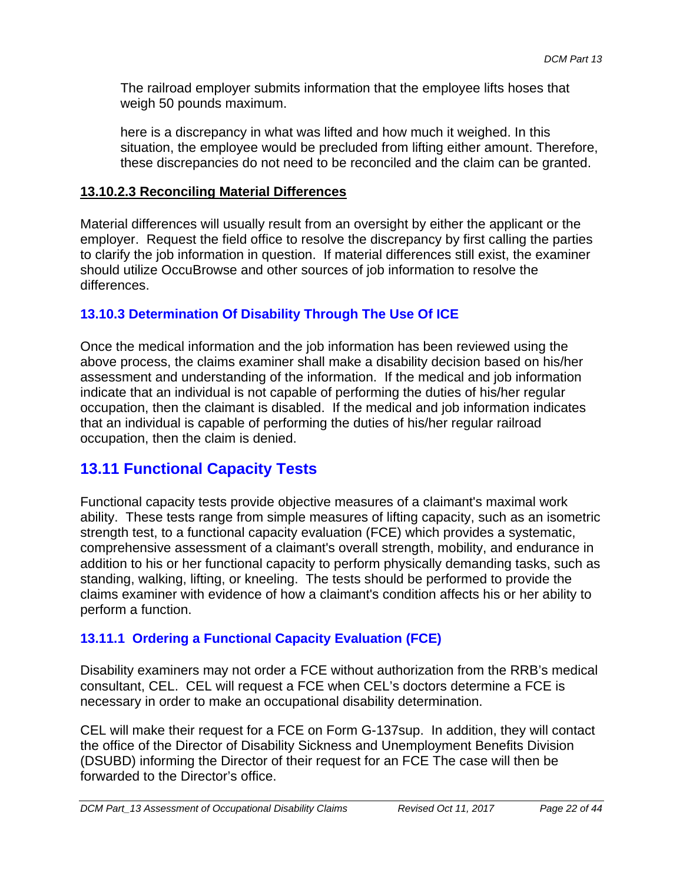The railroad employer submits information that the employee lifts hoses that weigh 50 pounds maximum.

here is a discrepancy in what was lifted and how much it weighed. In this situation, the employee would be precluded from lifting either amount. Therefore, these discrepancies do not need to be reconciled and the claim can be granted.

### **13.10.2.3 Reconciling Material Differences**

Material differences will usually result from an oversight by either the applicant or the employer. Request the field office to resolve the discrepancy by first calling the parties to clarify the job information in question. If material differences still exist, the examiner should utilize OccuBrowse and other sources of job information to resolve the differences.

### **13.10.3 Determination Of Disability Through The Use Of ICE**

Once the medical information and the job information has been reviewed using the above process, the claims examiner shall make a disability decision based on his/her assessment and understanding of the information. If the medical and job information indicate that an individual is not capable of performing the duties of his/her regular occupation, then the claimant is disabled. If the medical and job information indicates that an individual is capable of performing the duties of his/her regular railroad occupation, then the claim is denied.

## **13.11 Functional Capacity Tests**

Functional capacity tests provide objective measures of a claimant's maximal work ability. These tests range from simple measures of lifting capacity, such as an isometric strength test, to a functional capacity evaluation (FCE) which provides a systematic, comprehensive assessment of a claimant's overall strength, mobility, and endurance in addition to his or her functional capacity to perform physically demanding tasks, such as standing, walking, lifting, or kneeling. The tests should be performed to provide the claims examiner with evidence of how a claimant's condition affects his or her ability to perform a function.

## **13.11.1 Ordering a Functional Capacity Evaluation (FCE)**

Disability examiners may not order a FCE without authorization from the RRB's medical consultant, CEL. CEL will request a FCE when CEL's doctors determine a FCE is necessary in order to make an occupational disability determination.

CEL will make their request for a FCE on Form G-137sup. In addition, they will contact the office of the Director of Disability Sickness and Unemployment Benefits Division (DSUBD) informing the Director of their request for an FCE The case will then be forwarded to the Director's office.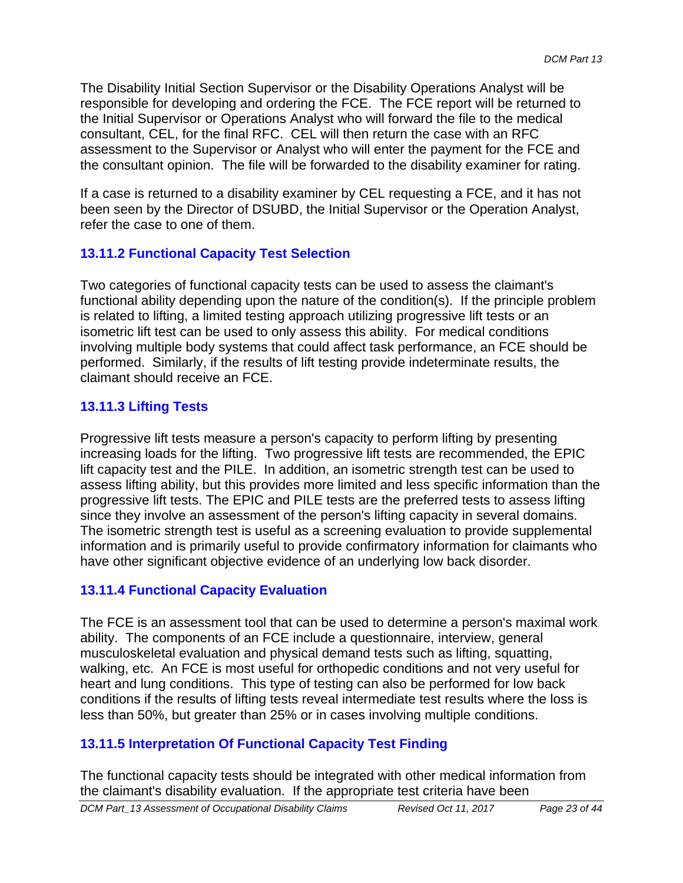The Disability Initial Section Supervisor or the Disability Operations Analyst will be responsible for developing and ordering the FCE. The FCE report will be returned to the Initial Supervisor or Operations Analyst who will forward the file to the medical consultant, CEL, for the final RFC. CEL will then return the case with an RFC assessment to the Supervisor or Analyst who will enter the payment for the FCE and the consultant opinion. The file will be forwarded to the disability examiner for rating.

If a case is returned to a disability examiner by CEL requesting a FCE, and it has not been seen by the Director of DSUBD, the Initial Supervisor or the Operation Analyst, refer the case to one of them.

## **13.11.2 Functional Capacity Test Selection**

Two categories of functional capacity tests can be used to assess the claimant's functional ability depending upon the nature of the condition(s). If the principle problem is related to lifting, a limited testing approach utilizing progressive lift tests or an isometric lift test can be used to only assess this ability. For medical conditions involving multiple body systems that could affect task performance, an FCE should be performed. Similarly, if the results of lift testing provide indeterminate results, the claimant should receive an FCE.

## **13.11.3 Lifting Tests**

Progressive lift tests measure a person's capacity to perform lifting by presenting increasing loads for the lifting. Two progressive lift tests are recommended, the EPIC lift capacity test and the PILE. In addition, an isometric strength test can be used to assess lifting ability, but this provides more limited and less specific information than the progressive lift tests. The EPIC and PILE tests are the preferred tests to assess lifting since they involve an assessment of the person's lifting capacity in several domains. The isometric strength test is useful as a screening evaluation to provide supplemental information and is primarily useful to provide confirmatory information for claimants who have other significant objective evidence of an underlying low back disorder.

### **13.11.4 Functional Capacity Evaluation**

The FCE is an assessment tool that can be used to determine a person's maximal work ability. The components of an FCE include a questionnaire, interview, general musculoskeletal evaluation and physical demand tests such as lifting, squatting, walking, etc. An FCE is most useful for orthopedic conditions and not very useful for heart and lung conditions. This type of testing can also be performed for low back conditions if the results of lifting tests reveal intermediate test results where the loss is less than 50%, but greater than 25% or in cases involving multiple conditions.

### **13.11.5 Interpretation Of Functional Capacity Test Finding**

 the claimant's disability evaluation. If the appropriate test criteria have been The functional capacity tests should be integrated with other medical information from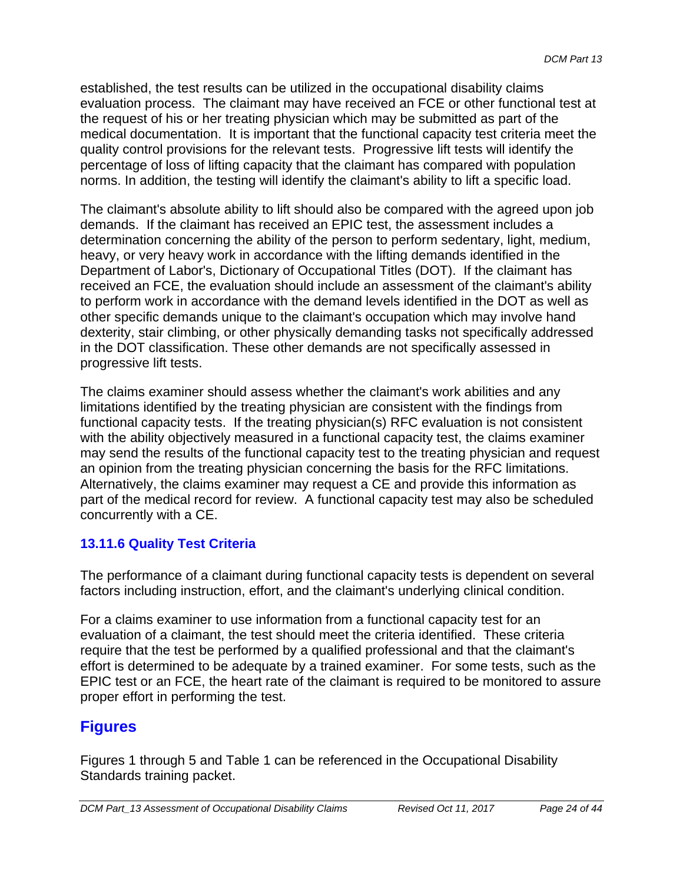established, the test results can be utilized in the occupational disability claims evaluation process. The claimant may have received an FCE or other functional test at the request of his or her treating physician which may be submitted as part of the medical documentation. It is important that the functional capacity test criteria meet the quality control provisions for the relevant tests. Progressive lift tests will identify the percentage of loss of lifting capacity that the claimant has compared with population norms. In addition, the testing will identify the claimant's ability to lift a specific load.

The claimant's absolute ability to lift should also be compared with the agreed upon job demands. If the claimant has received an EPIC test, the assessment includes a determination concerning the ability of the person to perform sedentary, light, medium, heavy, or very heavy work in accordance with the lifting demands identified in the Department of Labor's, Dictionary of Occupational Titles (DOT). If the claimant has received an FCE, the evaluation should include an assessment of the claimant's ability to perform work in accordance with the demand levels identified in the DOT as well as other specific demands unique to the claimant's occupation which may involve hand dexterity, stair climbing, or other physically demanding tasks not specifically addressed in the DOT classification. These other demands are not specifically assessed in progressive lift tests.

The claims examiner should assess whether the claimant's work abilities and any limitations identified by the treating physician are consistent with the findings from functional capacity tests. If the treating physician(s) RFC evaluation is not consistent with the ability objectively measured in a functional capacity test, the claims examiner may send the results of the functional capacity test to the treating physician and request an opinion from the treating physician concerning the basis for the RFC limitations. Alternatively, the claims examiner may request a CE and provide this information as part of the medical record for review. A functional capacity test may also be scheduled concurrently with a CE.

## **13.11.6 Quality Test Criteria**

The performance of a claimant during functional capacity tests is dependent on several factors including instruction, effort, and the claimant's underlying clinical condition.

For a claims examiner to use information from a functional capacity test for an evaluation of a claimant, the test should meet the criteria identified. These criteria require that the test be performed by a qualified professional and that the claimant's effort is determined to be adequate by a trained examiner. For some tests, such as the EPIC test or an FCE, the heart rate of the claimant is required to be monitored to assure proper effort in performing the test.

## **Figures**

Figures 1 through 5 and Table 1 can be referenced in the Occupational Disability Standards training packet.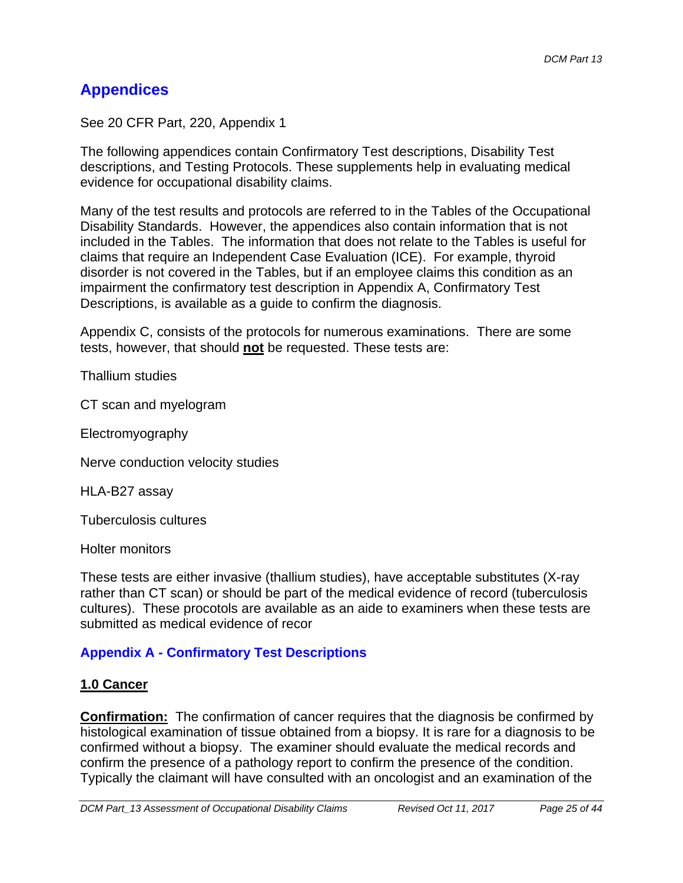# **Appendices**

See 20 CFR Part, 220, Appendix 1

The following appendices contain Confirmatory Test descriptions, Disability Test descriptions, and Testing Protocols. These supplements help in evaluating medical evidence for occupational disability claims.

Many of the test results and protocols are referred to in the Tables of the Occupational Disability Standards. However, the appendices also contain information that is not included in the Tables. The information that does not relate to the Tables is useful for claims that require an Independent Case Evaluation (ICE). For example, thyroid disorder is not covered in the Tables, but if an employee claims this condition as an impairment the confirmatory test description in Appendix A, Confirmatory Test Descriptions, is available as a guide to confirm the diagnosis.

Appendix C, consists of the protocols for numerous examinations. There are some tests, however, that should **not** be requested. These tests are:

Thallium studies

CT scan and myelogram

Electromyography

Nerve conduction velocity studies

HLA-B27 assay

Tuberculosis cultures

Holter monitors

These tests are either invasive (thallium studies), have acceptable substitutes (X-ray rather than CT scan) or should be part of the medical evidence of record (tuberculosis cultures). These procotols are available as an aide to examiners when these tests are submitted as medical evidence of recor

## **Appendix A - Confirmatory Test Descriptions**

#### **1.0 Cancer**

**Confirmation:** The confirmation of cancer requires that the diagnosis be confirmed by histological examination of tissue obtained from a biopsy. It is rare for a diagnosis to be confirmed without a biopsy. The examiner should evaluate the medical records and confirm the presence of a pathology report to confirm the presence of the condition. Typically the claimant will have consulted with an oncologist and an examination of the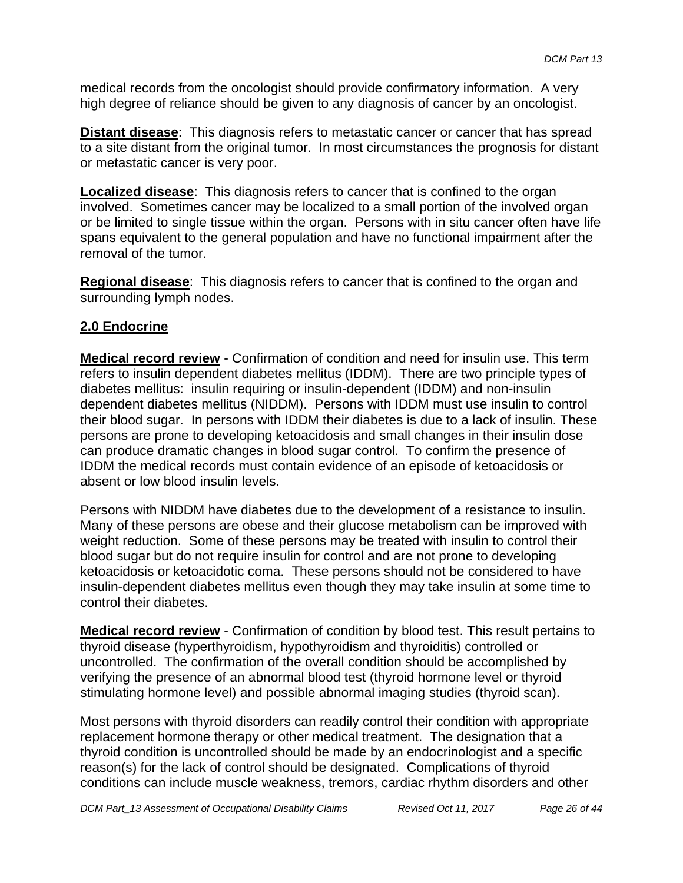medical records from the oncologist should provide confirmatory information. A very high degree of reliance should be given to any diagnosis of cancer by an oncologist.

**Distant disease**: This diagnosis refers to metastatic cancer or cancer that has spread to a site distant from the original tumor. In most circumstances the prognosis for distant or metastatic cancer is very poor.

**Localized disease**: This diagnosis refers to cancer that is confined to the organ involved. Sometimes cancer may be localized to a small portion of the involved organ or be limited to single tissue within the organ. Persons with in situ cancer often have life spans equivalent to the general population and have no functional impairment after the removal of the tumor.

**Regional disease**: This diagnosis refers to cancer that is confined to the organ and surrounding lymph nodes.

### **2.0 Endocrine**

**Medical record review** - Confirmation of condition and need for insulin use. This term refers to insulin dependent diabetes mellitus (IDDM). There are two principle types of diabetes mellitus: insulin requiring or insulin-dependent (IDDM) and non-insulin dependent diabetes mellitus (NIDDM). Persons with IDDM must use insulin to control their blood sugar. In persons with IDDM their diabetes is due to a lack of insulin. These persons are prone to developing ketoacidosis and small changes in their insulin dose can produce dramatic changes in blood sugar control. To confirm the presence of IDDM the medical records must contain evidence of an episode of ketoacidosis or absent or low blood insulin levels.

Persons with NIDDM have diabetes due to the development of a resistance to insulin. Many of these persons are obese and their glucose metabolism can be improved with weight reduction. Some of these persons may be treated with insulin to control their blood sugar but do not require insulin for control and are not prone to developing ketoacidosis or ketoacidotic coma. These persons should not be considered to have insulin-dependent diabetes mellitus even though they may take insulin at some time to control their diabetes.

**Medical record review** - Confirmation of condition by blood test. This result pertains to thyroid disease (hyperthyroidism, hypothyroidism and thyroiditis) controlled or uncontrolled. The confirmation of the overall condition should be accomplished by verifying the presence of an abnormal blood test (thyroid hormone level or thyroid stimulating hormone level) and possible abnormal imaging studies (thyroid scan).

Most persons with thyroid disorders can readily control their condition with appropriate replacement hormone therapy or other medical treatment. The designation that a thyroid condition is uncontrolled should be made by an endocrinologist and a specific reason(s) for the lack of control should be designated. Complications of thyroid conditions can include muscle weakness, tremors, cardiac rhythm disorders and other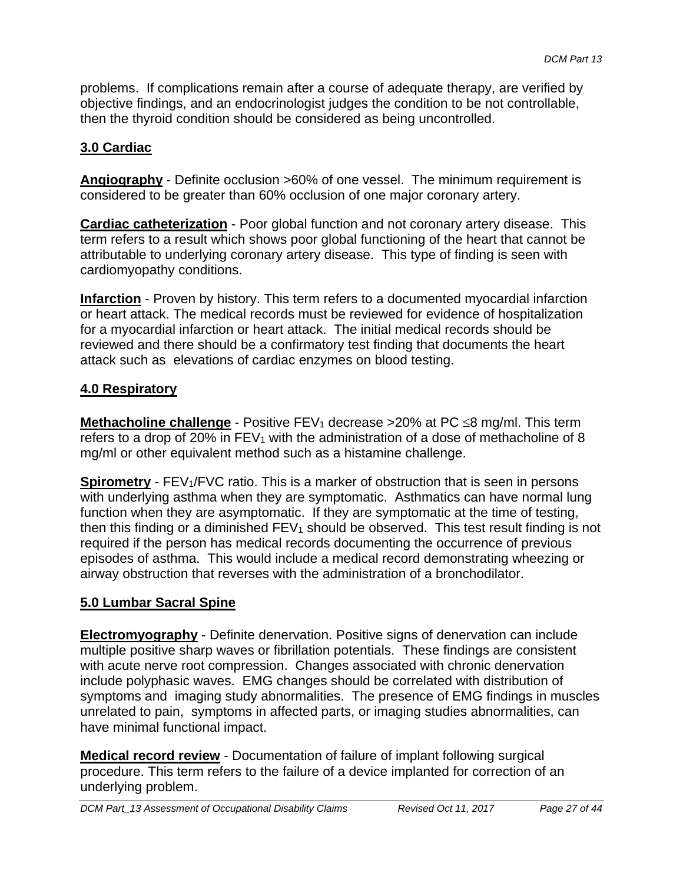problems. If complications remain after a course of adequate therapy, are verified by objective findings, and an endocrinologist judges the condition to be not controllable, then the thyroid condition should be considered as being uncontrolled.

## **3.0 Cardiac**

**Angiography** - Definite occlusion >60% of one vessel. The minimum requirement is considered to be greater than 60% occlusion of one major coronary artery.

**Cardiac catheterization** - Poor global function and not coronary artery disease. This term refers to a result which shows poor global functioning of the heart that cannot be attributable to underlying coronary artery disease. This type of finding is seen with cardiomyopathy conditions.

**Infarction** - Proven by history. This term refers to a documented myocardial infarction or heart attack. The medical records must be reviewed for evidence of hospitalization for a myocardial infarction or heart attack. The initial medical records should be reviewed and there should be a confirmatory test finding that documents the heart attack such as elevations of cardiac enzymes on blood testing.

### **4.0 Respiratory**

**Methacholine challenge** - Positive FEV<sub>1</sub> decrease  $>$ 20% at PC  $\leq$ 8 mg/ml. This term refers to a drop of 20% in  $FEV_1$  with the administration of a dose of methacholine of 8 mg/ml or other equivalent method such as a histamine challenge.

**Spirometry** - FEV<sub>1</sub>/FVC ratio. This is a marker of obstruction that is seen in persons with underlying asthma when they are symptomatic. Asthmatics can have normal lung function when they are asymptomatic. If they are symptomatic at the time of testing, then this finding or a diminished  $FEV_1$  should be observed. This test result finding is not required if the person has medical records documenting the occurrence of previous episodes of asthma. This would include a medical record demonstrating wheezing or airway obstruction that reverses with the administration of a bronchodilator.

### **5.0 Lumbar Sacral Spine**

**Electromyography** - Definite denervation. Positive signs of denervation can include multiple positive sharp waves or fibrillation potentials. These findings are consistent with acute nerve root compression. Changes associated with chronic denervation include polyphasic waves. EMG changes should be correlated with distribution of symptoms and imaging study abnormalities. The presence of EMG findings in muscles unrelated to pain, symptoms in affected parts, or imaging studies abnormalities, can have minimal functional impact.

**Medical record review** - Documentation of failure of implant following surgical procedure. This term refers to the failure of a device implanted for correction of an underlying problem.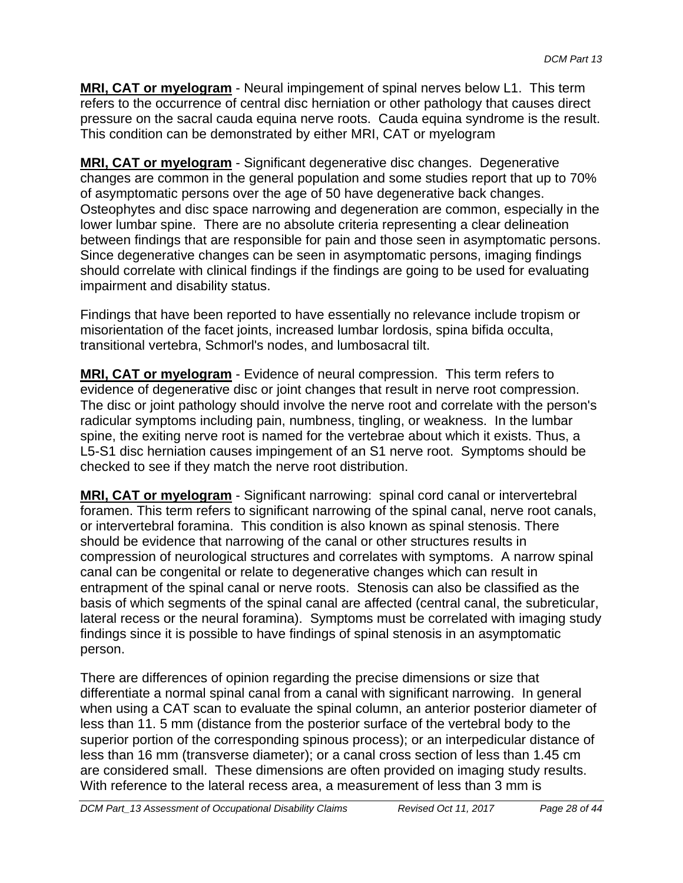**MRI, CAT or myelogram** - Neural impingement of spinal nerves below L1. This term refers to the occurrence of central disc herniation or other pathology that causes direct pressure on the sacral cauda equina nerve roots. Cauda equina syndrome is the result. This condition can be demonstrated by either MRI, CAT or myelogram

**MRI, CAT or myelogram** - Significant degenerative disc changes. Degenerative changes are common in the general population and some studies report that up to 70% of asymptomatic persons over the age of 50 have degenerative back changes. Osteophytes and disc space narrowing and degeneration are common, especially in the lower lumbar spine. There are no absolute criteria representing a clear delineation between findings that are responsible for pain and those seen in asymptomatic persons. Since degenerative changes can be seen in asymptomatic persons, imaging findings should correlate with clinical findings if the findings are going to be used for evaluating impairment and disability status.

Findings that have been reported to have essentially no relevance include tropism or misorientation of the facet joints, increased lumbar lordosis, spina bifida occulta, transitional vertebra, Schmorl's nodes, and lumbosacral tilt.

 checked to see if they match the nerve root distribution. **MRI, CAT or myelogram** - Evidence of neural compression. This term refers to evidence of degenerative disc or joint changes that result in nerve root compression. The disc or joint pathology should involve the nerve root and correlate with the person's radicular symptoms including pain, numbness, tingling, or weakness. In the lumbar spine, the exiting nerve root is named for the vertebrae about which it exists. Thus, a L5-S1 disc herniation causes impingement of an S1 nerve root. Symptoms should be

**MRI, CAT or myelogram** - Significant narrowing: spinal cord canal or intervertebral foramen. This term refers to significant narrowing of the spinal canal, nerve root canals, or intervertebral foramina. This condition is also known as spinal stenosis. There should be evidence that narrowing of the canal or other structures results in compression of neurological structures and correlates with symptoms. A narrow spinal canal can be congenital or relate to degenerative changes which can result in entrapment of the spinal canal or nerve roots. Stenosis can also be classified as the basis of which segments of the spinal canal are affected (central canal, the subreticular, lateral recess or the neural foramina). Symptoms must be correlated with imaging study findings since it is possible to have findings of spinal stenosis in an asymptomatic person.

There are differences of opinion regarding the precise dimensions or size that differentiate a normal spinal canal from a canal with significant narrowing. In general when using a CAT scan to evaluate the spinal column, an anterior posterior diameter of less than 11. 5 mm (distance from the posterior surface of the vertebral body to the superior portion of the corresponding spinous process); or an interpedicular distance of less than 16 mm (transverse diameter); or a canal cross section of less than 1.45 cm are considered small. These dimensions are often provided on imaging study results. With reference to the lateral recess area, a measurement of less than 3 mm is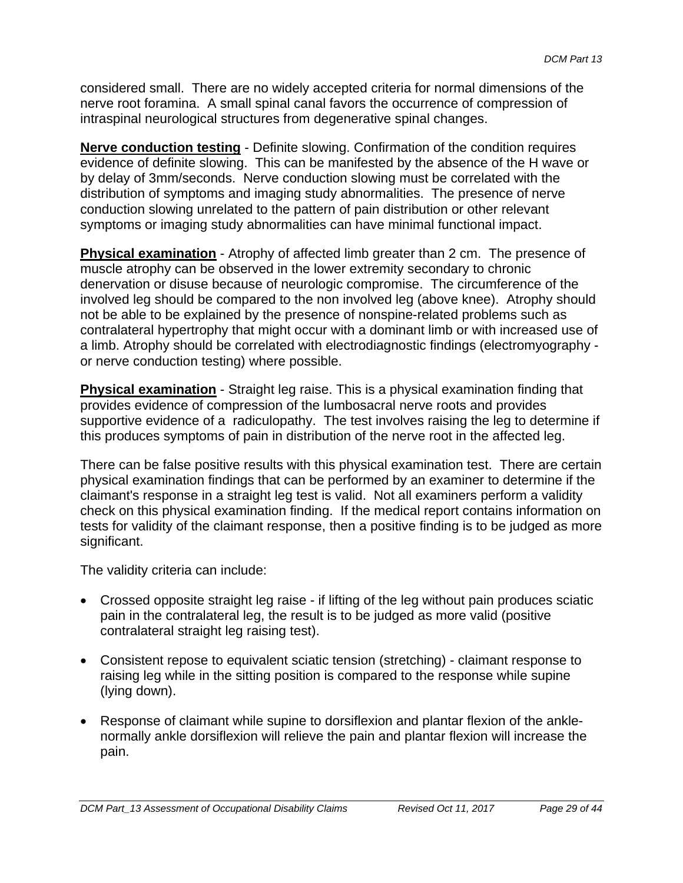considered small. There are no widely accepted criteria for normal dimensions of the nerve root foramina. A small spinal canal favors the occurrence of compression of intraspinal neurological structures from degenerative spinal changes.

**Nerve conduction testing** - Definite slowing. Confirmation of the condition requires evidence of definite slowing. This can be manifested by the absence of the H wave or by delay of 3mm/seconds. Nerve conduction slowing must be correlated with the distribution of symptoms and imaging study abnormalities. The presence of nerve conduction slowing unrelated to the pattern of pain distribution or other relevant symptoms or imaging study abnormalities can have minimal functional impact.

**Physical examination** - Atrophy of affected limb greater than 2 cm. The presence of muscle atrophy can be observed in the lower extremity secondary to chronic denervation or disuse because of neurologic compromise. The circumference of the involved leg should be compared to the non involved leg (above knee). Atrophy should not be able to be explained by the presence of nonspine-related problems such as contralateral hypertrophy that might occur with a dominant limb or with increased use of a limb. Atrophy should be correlated with electrodiagnostic findings (electromyography or nerve conduction testing) where possible.

**Physical examination** - Straight leg raise. This is a physical examination finding that provides evidence of compression of the lumbosacral nerve roots and provides supportive evidence of a radiculopathy. The test involves raising the leg to determine if this produces symptoms of pain in distribution of the nerve root in the affected leg.

There can be false positive results with this physical examination test. There are certain physical examination findings that can be performed by an examiner to determine if the claimant's response in a straight leg test is valid. Not all examiners perform a validity check on this physical examination finding. If the medical report contains information on tests for validity of the claimant response, then a positive finding is to be judged as more significant.

The validity criteria can include:

- Crossed opposite straight leg raise if lifting of the leg without pain produces sciatic pain in the contralateral leg, the result is to be judged as more valid (positive contralateral straight leg raising test).
- Consistent repose to equivalent sciatic tension (stretching) claimant response to raising leg while in the sitting position is compared to the response while supine (lying down).
- Response of claimant while supine to dorsiflexion and plantar flexion of the anklenormally ankle dorsiflexion will relieve the pain and plantar flexion will increase the pain.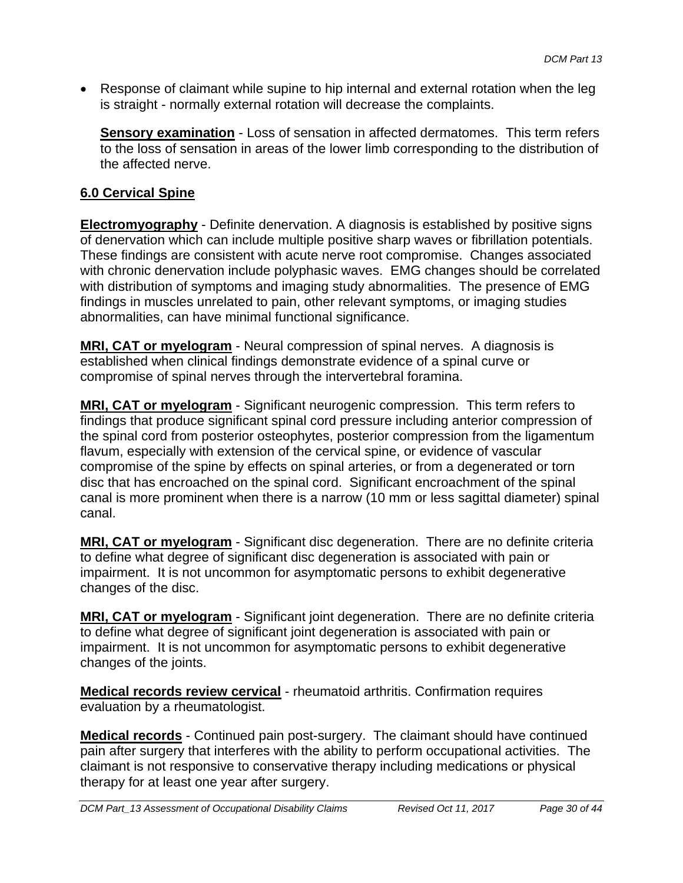Response of claimant while supine to hip internal and external rotation when the leg is straight - normally external rotation will decrease the complaints.

**Sensory examination** - Loss of sensation in affected dermatomes. This term refers to the loss of sensation in areas of the lower limb corresponding to the distribution of the affected nerve.

## **6.0 Cervical Spine**

**Electromyography** - Definite denervation. A diagnosis is established by positive signs of denervation which can include multiple positive sharp waves or fibrillation potentials. These findings are consistent with acute nerve root compromise. Changes associated with chronic denervation include polyphasic waves. EMG changes should be correlated with distribution of symptoms and imaging study abnormalities. The presence of EMG findings in muscles unrelated to pain, other relevant symptoms, or imaging studies abnormalities, can have minimal functional significance.

**MRI, CAT or myelogram** - Neural compression of spinal nerves. A diagnosis is established when clinical findings demonstrate evidence of a spinal curve or compromise of spinal nerves through the intervertebral foramina.

**MRI, CAT or myelogram** - Significant neurogenic compression. This term refers to findings that produce significant spinal cord pressure including anterior compression of the spinal cord from posterior osteophytes, posterior compression from the ligamentum flavum, especially with extension of the cervical spine, or evidence of vascular compromise of the spine by effects on spinal arteries, or from a degenerated or torn disc that has encroached on the spinal cord. Significant encroachment of the spinal canal is more prominent when there is a narrow (10 mm or less sagittal diameter) spinal canal.

**MRI, CAT or myelogram** - Significant disc degeneration. There are no definite criteria to define what degree of significant disc degeneration is associated with pain or impairment. It is not uncommon for asymptomatic persons to exhibit degenerative changes of the disc.

**MRI, CAT or myelogram** - Significant joint degeneration. There are no definite criteria to define what degree of significant joint degeneration is associated with pain or impairment. It is not uncommon for asymptomatic persons to exhibit degenerative changes of the joints.

**Medical records review cervical** - rheumatoid arthritis. Confirmation requires evaluation by a rheumatologist.

**Medical records** - Continued pain post-surgery. The claimant should have continued pain after surgery that interferes with the ability to perform occupational activities. The claimant is not responsive to conservative therapy including medications or physical therapy for at least one year after surgery.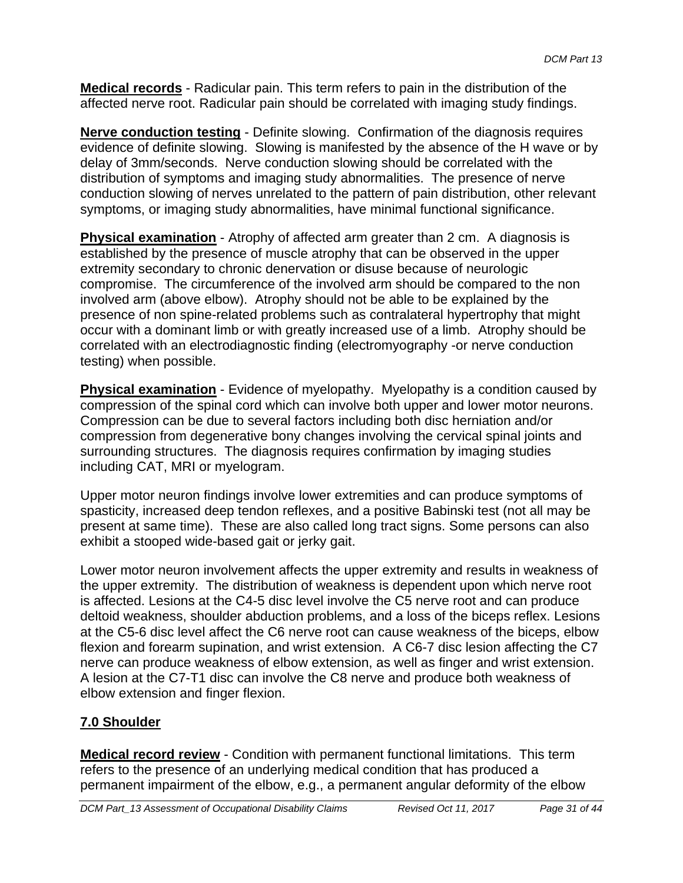**Medical records** - Radicular pain. This term refers to pain in the distribution of the affected nerve root. Radicular pain should be correlated with imaging study findings.

**Nerve conduction testing** - Definite slowing. Confirmation of the diagnosis requires evidence of definite slowing. Slowing is manifested by the absence of the H wave or by delay of 3mm/seconds. Nerve conduction slowing should be correlated with the distribution of symptoms and imaging study abnormalities. The presence of nerve conduction slowing of nerves unrelated to the pattern of pain distribution, other relevant symptoms, or imaging study abnormalities, have minimal functional significance.

**Physical examination** - Atrophy of affected arm greater than 2 cm. A diagnosis is established by the presence of muscle atrophy that can be observed in the upper extremity secondary to chronic denervation or disuse because of neurologic compromise. The circumference of the involved arm should be compared to the non involved arm (above elbow). Atrophy should not be able to be explained by the presence of non spine-related problems such as contralateral hypertrophy that might occur with a dominant limb or with greatly increased use of a limb. Atrophy should be correlated with an electrodiagnostic finding (electromyography -or nerve conduction testing) when possible.

**Physical examination** - Evidence of myelopathy. Myelopathy is a condition caused by compression of the spinal cord which can involve both upper and lower motor neurons. Compression can be due to several factors including both disc herniation and/or compression from degenerative bony changes involving the cervical spinal joints and surrounding structures. The diagnosis requires confirmation by imaging studies including CAT, MRI or myelogram.

Upper motor neuron findings involve lower extremities and can produce symptoms of spasticity, increased deep tendon reflexes, and a positive Babinski test (not all may be present at same time). These are also called long tract signs. Some persons can also exhibit a stooped wide-based gait or jerky gait.

Lower motor neuron involvement affects the upper extremity and results in weakness of the upper extremity. The distribution of weakness is dependent upon which nerve root is affected. Lesions at the C4-5 disc level involve the C5 nerve root and can produce deltoid weakness, shoulder abduction problems, and a loss of the biceps reflex. Lesions at the C5-6 disc level affect the C6 nerve root can cause weakness of the biceps, elbow flexion and forearm supination, and wrist extension. A C6-7 disc lesion affecting the C7 nerve can produce weakness of elbow extension, as well as finger and wrist extension. A lesion at the C7-T1 disc can involve the C8 nerve and produce both weakness of elbow extension and finger flexion.

## **7.0 Shoulder**

**Medical record review** - Condition with permanent functional limitations. This term refers to the presence of an underlying medical condition that has produced a permanent impairment of the elbow, e.g., a permanent angular deformity of the elbow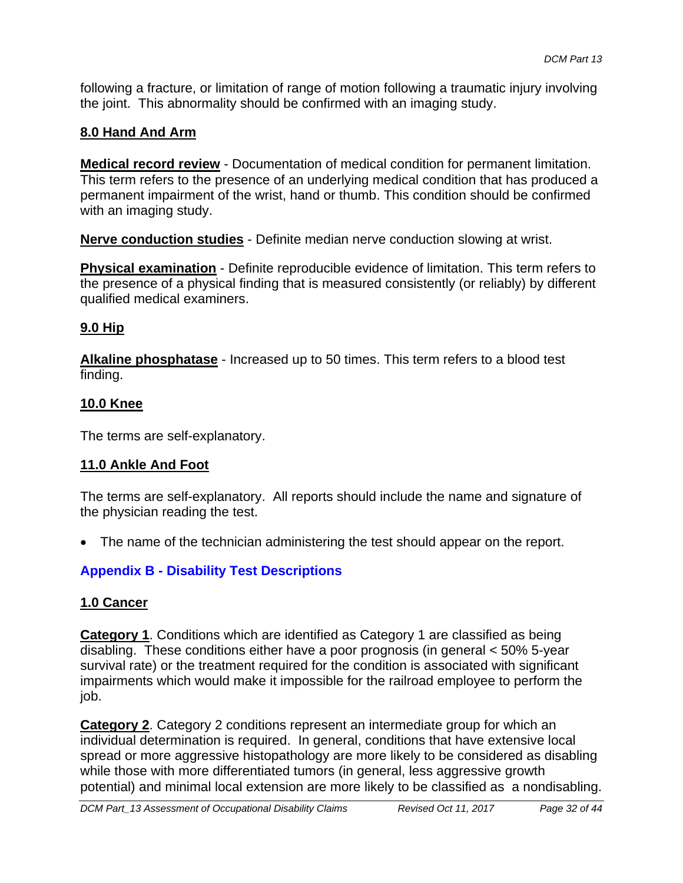following a fracture, or limitation of range of motion following a traumatic injury involving the joint. This abnormality should be confirmed with an imaging study.

## **8.0 Hand And Arm**

**Medical record review** - Documentation of medical condition for permanent limitation. This term refers to the presence of an underlying medical condition that has produced a permanent impairment of the wrist, hand or thumb. This condition should be confirmed with an imaging study.

**Nerve conduction studies** - Definite median nerve conduction slowing at wrist.

**Physical examination** - Definite reproducible evidence of limitation. This term refers to the presence of a physical finding that is measured consistently (or reliably) by different qualified medical examiners.

### **9.0 Hip**

**Alkaline phosphatase** - Increased up to 50 times. This term refers to a blood test finding.

### **10.0 Knee**

The terms are self-explanatory.

### **11.0 Ankle And Foot**

The terms are self-explanatory. All reports should include the name and signature of the physician reading the test.

The name of the technician administering the test should appear on the report.

### **Appendix B - Disability Test Descriptions**

### **1.0 Cancer**

**Category 1**. Conditions which are identified as Category 1 are classified as being disabling. These conditions either have a poor prognosis (in general < 50% 5-year survival rate) or the treatment required for the condition is associated with significant impairments which would make it impossible for the railroad employee to perform the job.

**Category 2**. Category 2 conditions represent an intermediate group for which an individual determination is required. In general, conditions that have extensive local spread or more aggressive histopathology are more likely to be considered as disabling while those with more differentiated tumors (in general, less aggressive growth potential) and minimal local extension are more likely to be classified as a nondisabling.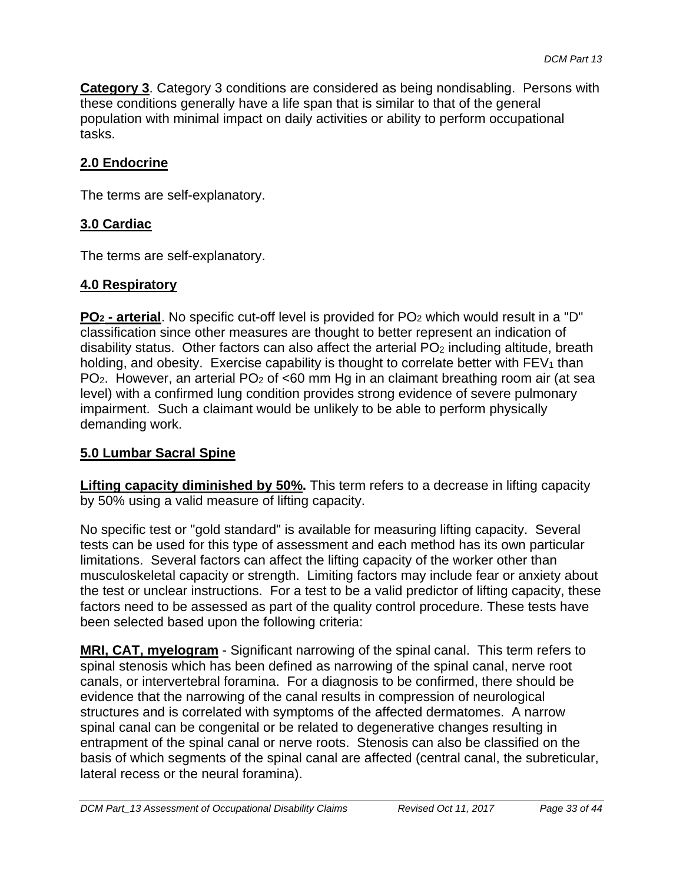**Category 3**. Category 3 conditions are considered as being nondisabling. Persons with these conditions generally have a life span that is similar to that of the general population with minimal impact on daily activities or ability to perform occupational tasks.

### **2.0 Endocrine**

The terms are self-explanatory.

### **3.0 Cardiac**

The terms are self-explanatory.

### **4.0 Respiratory**

**PO<sub>2</sub> - arterial**. No specific cut-off level is provided for PO<sub>2</sub> which would result in a "D" classification since other measures are thought to better represent an indication of disability status. Other factors can also affect the arterial  $PO<sub>2</sub>$  including altitude, breath holding, and obesity. Exercise capability is thought to correlate better with  $FEV<sub>1</sub>$  than PO<sub>2</sub>. However, an arterial PO<sub>2</sub> of <60 mm Hg in an claimant breathing room air (at sea level) with a confirmed lung condition provides strong evidence of severe pulmonary impairment. Such a claimant would be unlikely to be able to perform physically demanding work.

### **5.0 Lumbar Sacral Spine**

**Lifting capacity diminished by 50%.** This term refers to a decrease in lifting capacity by 50% using a valid measure of lifting capacity.

No specific test or "gold standard" is available for measuring lifting capacity. Several tests can be used for this type of assessment and each method has its own particular limitations. Several factors can affect the lifting capacity of the worker other than musculoskeletal capacity or strength. Limiting factors may include fear or anxiety about the test or unclear instructions. For a test to be a valid predictor of lifting capacity, these factors need to be assessed as part of the quality control procedure. These tests have been selected based upon the following criteria:

**MRI, CAT, myelogram** - Significant narrowing of the spinal canal. This term refers to spinal stenosis which has been defined as narrowing of the spinal canal, nerve root canals, or intervertebral foramina. For a diagnosis to be confirmed, there should be evidence that the narrowing of the canal results in compression of neurological structures and is correlated with symptoms of the affected dermatomes. A narrow spinal canal can be congenital or be related to degenerative changes resulting in entrapment of the spinal canal or nerve roots. Stenosis can also be classified on the basis of which segments of the spinal canal are affected (central canal, the subreticular, lateral recess or the neural foramina).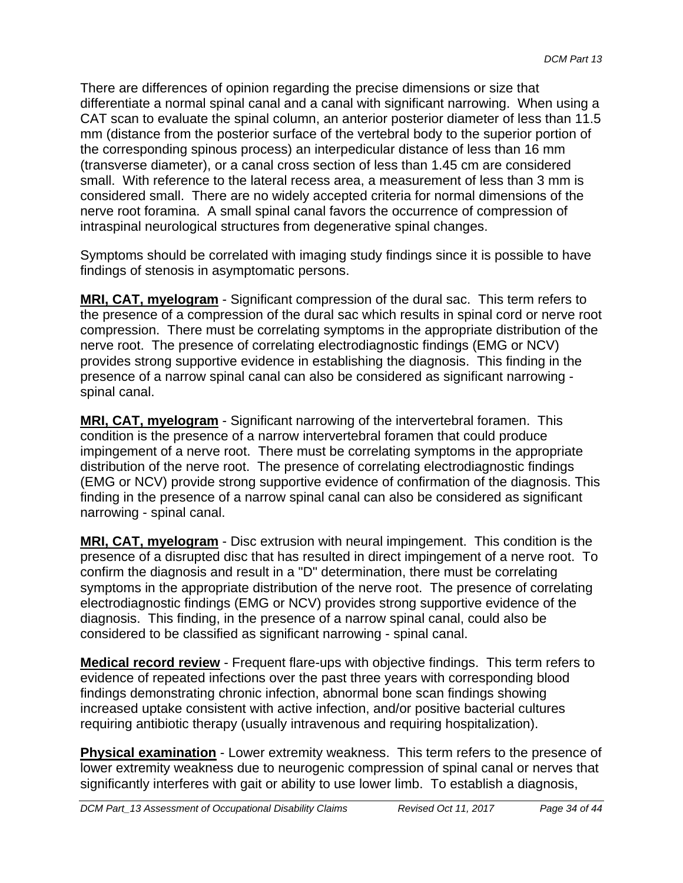There are differences of opinion regarding the precise dimensions or size that differentiate a normal spinal canal and a canal with significant narrowing. When using a CAT scan to evaluate the spinal column, an anterior posterior diameter of less than 11.5 mm (distance from the posterior surface of the vertebral body to the superior portion of the corresponding spinous process) an interpedicular distance of less than 16 mm (transverse diameter), or a canal cross section of less than 1.45 cm are considered small. With reference to the lateral recess area, a measurement of less than 3 mm is considered small. There are no widely accepted criteria for normal dimensions of the nerve root foramina. A small spinal canal favors the occurrence of compression of intraspinal neurological structures from degenerative spinal changes.

Symptoms should be correlated with imaging study findings since it is possible to have findings of stenosis in asymptomatic persons.

**MRI, CAT, myelogram** - Significant compression of the dural sac. This term refers to the presence of a compression of the dural sac which results in spinal cord or nerve root compression. There must be correlating symptoms in the appropriate distribution of the nerve root. The presence of correlating electrodiagnostic findings (EMG or NCV) provides strong supportive evidence in establishing the diagnosis. This finding in the presence of a narrow spinal canal can also be considered as significant narrowing spinal canal.

**MRI, CAT, myelogram** - Significant narrowing of the intervertebral foramen. This condition is the presence of a narrow intervertebral foramen that could produce impingement of a nerve root. There must be correlating symptoms in the appropriate distribution of the nerve root. The presence of correlating electrodiagnostic findings (EMG or NCV) provide strong supportive evidence of confirmation of the diagnosis. This finding in the presence of a narrow spinal canal can also be considered as significant narrowing - spinal canal.

**MRI, CAT, myelogram** - Disc extrusion with neural impingement. This condition is the presence of a disrupted disc that has resulted in direct impingement of a nerve root. To confirm the diagnosis and result in a "D" determination, there must be correlating symptoms in the appropriate distribution of the nerve root. The presence of correlating electrodiagnostic findings (EMG or NCV) provides strong supportive evidence of the diagnosis. This finding, in the presence of a narrow spinal canal, could also be considered to be classified as significant narrowing - spinal canal.

**Medical record review** - Frequent flare-ups with objective findings. This term refers to evidence of repeated infections over the past three years with corresponding blood findings demonstrating chronic infection, abnormal bone scan findings showing increased uptake consistent with active infection, and/or positive bacterial cultures requiring antibiotic therapy (usually intravenous and requiring hospitalization).

**Physical examination** - Lower extremity weakness. This term refers to the presence of lower extremity weakness due to neurogenic compression of spinal canal or nerves that significantly interferes with gait or ability to use lower limb. To establish a diagnosis,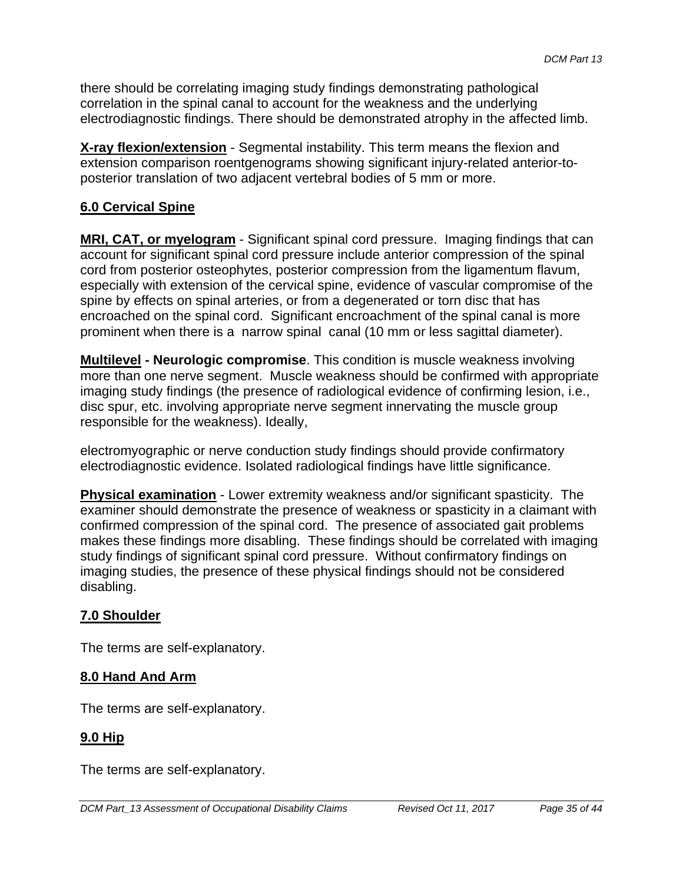there should be correlating imaging study findings demonstrating pathological correlation in the spinal canal to account for the weakness and the underlying electrodiagnostic findings. There should be demonstrated atrophy in the affected limb.

**X-ray flexion/extension** - Segmental instability. This term means the flexion and extension comparison roentgenograms showing significant injury-related anterior-toposterior translation of two adjacent vertebral bodies of 5 mm or more.

### **6.0 Cervical Spine**

**MRI, CAT, or myelogram** - Significant spinal cord pressure. Imaging findings that can account for significant spinal cord pressure include anterior compression of the spinal cord from posterior osteophytes, posterior compression from the ligamentum flavum, especially with extension of the cervical spine, evidence of vascular compromise of the spine by effects on spinal arteries, or from a degenerated or torn disc that has encroached on the spinal cord. Significant encroachment of the spinal canal is more prominent when there is a narrow spinal canal (10 mm or less sagittal diameter).

**Multilevel - Neurologic compromise**. This condition is muscle weakness involving more than one nerve segment. Muscle weakness should be confirmed with appropriate imaging study findings (the presence of radiological evidence of confirming lesion, i.e., disc spur, etc. involving appropriate nerve segment innervating the muscle group responsible for the weakness). Ideally,

electromyographic or nerve conduction study findings should provide confirmatory electrodiagnostic evidence. Isolated radiological findings have little significance.

**Physical examination** - Lower extremity weakness and/or significant spasticity. The examiner should demonstrate the presence of weakness or spasticity in a claimant with confirmed compression of the spinal cord. The presence of associated gait problems makes these findings more disabling. These findings should be correlated with imaging study findings of significant spinal cord pressure. Without confirmatory findings on imaging studies, the presence of these physical findings should not be considered disabling.

### **7.0 Shoulder**

The terms are self-explanatory.

### **8.0 Hand And Arm**

The terms are self-explanatory.

### **9.0 Hip**

The terms are self-explanatory.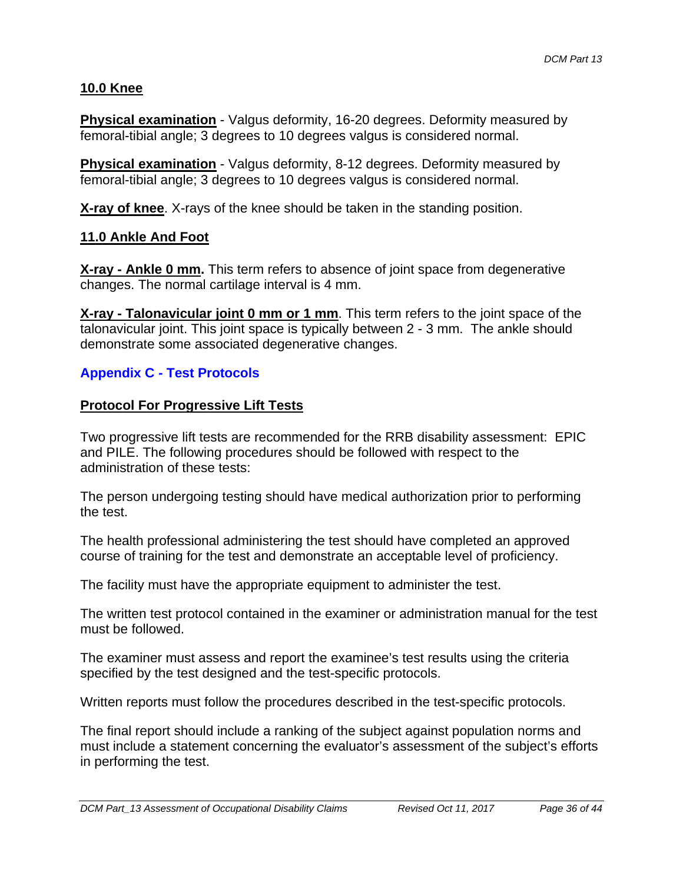### **10.0 Knee**

**Physical examination** - Valgus deformity, 16-20 degrees. Deformity measured by femoral-tibial angle; 3 degrees to 10 degrees valgus is considered normal.

**Physical examination** - Valgus deformity, 8-12 degrees. Deformity measured by femoral-tibial angle; 3 degrees to 10 degrees valgus is considered normal.

**X-ray of knee**. X-rays of the knee should be taken in the standing position.

#### **11.0 Ankle And Foot**

**X-ray - Ankle 0 mm.** This term refers to absence of joint space from degenerative changes. The normal cartilage interval is 4 mm.

**X-ray - Talonavicular joint 0 mm or 1 mm**. This term refers to the joint space of the talonavicular joint. This joint space is typically between 2 - 3 mm. The ankle should demonstrate some associated degenerative changes.

### **Appendix C - Test Protocols**

#### **Protocol For Progressive Lift Tests**

Two progressive lift tests are recommended for the RRB disability assessment: EPIC and PILE. The following procedures should be followed with respect to the administration of these tests:

The person undergoing testing should have medical authorization prior to performing the test.

The health professional administering the test should have completed an approved course of training for the test and demonstrate an acceptable level of proficiency.

The facility must have the appropriate equipment to administer the test.

The written test protocol contained in the examiner or administration manual for the test must be followed.

The examiner must assess and report the examinee's test results using the criteria specified by the test designed and the test-specific protocols.

Written reports must follow the procedures described in the test-specific protocols.

The final report should include a ranking of the subject against population norms and must include a statement concerning the evaluator's assessment of the subject's efforts in performing the test.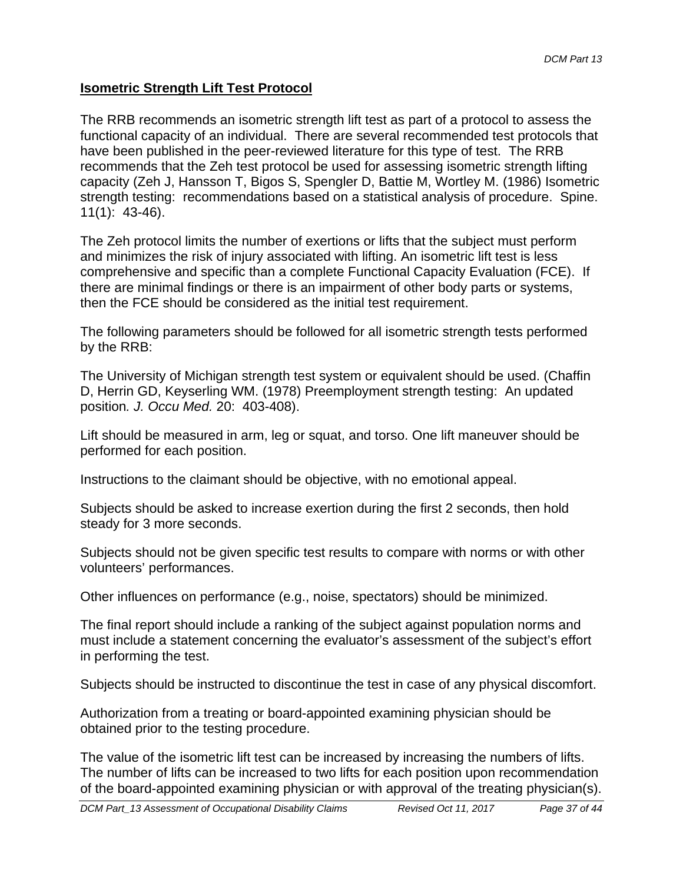### **Isometric Strength Lift Test Protocol**

The RRB recommends an isometric strength lift test as part of a protocol to assess the functional capacity of an individual. There are several recommended test protocols that have been published in the peer-reviewed literature for this type of test. The RRB recommends that the Zeh test protocol be used for assessing isometric strength lifting capacity (Zeh J, Hansson T, Bigos S, Spengler D, Battie M, Wortley M. (1986) Isometric strength testing: recommendations based on a statistical analysis of procedure. Spine. 11(1): 43-46).

The Zeh protocol limits the number of exertions or lifts that the subject must perform and minimizes the risk of injury associated with lifting. An isometric lift test is less comprehensive and specific than a complete Functional Capacity Evaluation (FCE). If there are minimal findings or there is an impairment of other body parts or systems, then the FCE should be considered as the initial test requirement.

The following parameters should be followed for all isometric strength tests performed by the RRB:

The University of Michigan strength test system or equivalent should be used. (Chaffin D, Herrin GD, Keyserling WM. (1978) Preemployment strength testing: An updated position*. J. Occu Med.* 20: 403-408).

Lift should be measured in arm, leg or squat, and torso. One lift maneuver should be performed for each position.

Instructions to the claimant should be objective, with no emotional appeal.

Subjects should be asked to increase exertion during the first 2 seconds, then hold steady for 3 more seconds.

Subjects should not be given specific test results to compare with norms or with other volunteers' performances.

Other influences on performance (e.g., noise, spectators) should be minimized.

The final report should include a ranking of the subject against population norms and must include a statement concerning the evaluator's assessment of the subject's effort in performing the test.

Subjects should be instructed to discontinue the test in case of any physical discomfort.

Authorization from a treating or board-appointed examining physician should be obtained prior to the testing procedure.

The value of the isometric lift test can be increased by increasing the numbers of lifts. The number of lifts can be increased to two lifts for each position upon recommendation of the board-appointed examining physician or with approval of the treating physician(s).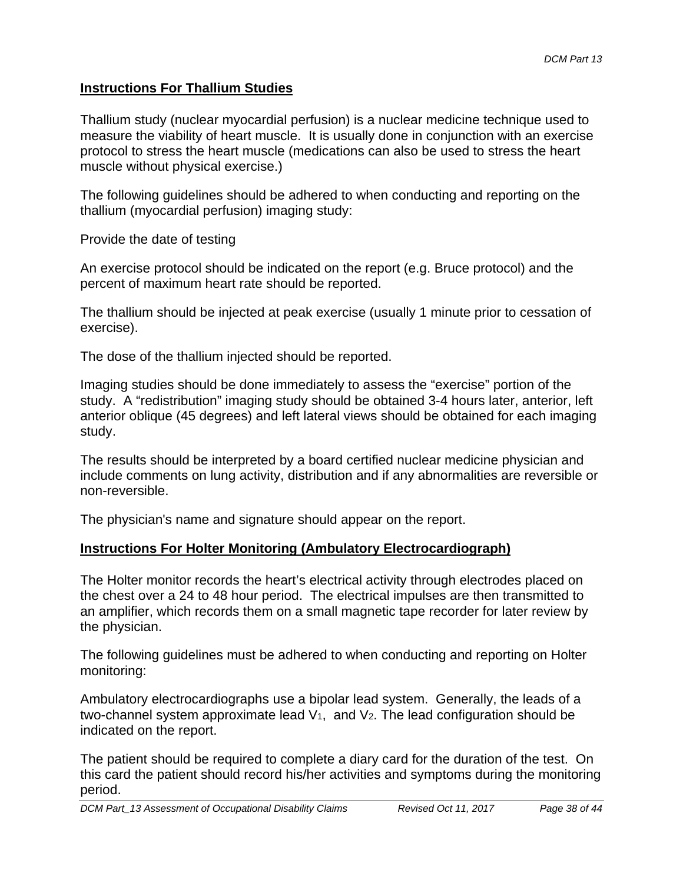### **Instructions For Thallium Studies**

Thallium study (nuclear myocardial perfusion) is a nuclear medicine technique used to measure the viability of heart muscle. It is usually done in conjunction with an exercise protocol to stress the heart muscle (medications can also be used to stress the heart muscle without physical exercise.)

The following guidelines should be adhered to when conducting and reporting on the thallium (myocardial perfusion) imaging study:

Provide the date of testing

An exercise protocol should be indicated on the report (e.g. Bruce protocol) and the percent of maximum heart rate should be reported.

The thallium should be injected at peak exercise (usually 1 minute prior to cessation of exercise).

The dose of the thallium injected should be reported.

Imaging studies should be done immediately to assess the "exercise" portion of the study. A "redistribution" imaging study should be obtained 3-4 hours later, anterior, left anterior oblique (45 degrees) and left lateral views should be obtained for each imaging study.

The results should be interpreted by a board certified nuclear medicine physician and include comments on lung activity, distribution and if any abnormalities are reversible or non-reversible.

The physician's name and signature should appear on the report.

### **Instructions For Holter Monitoring (Ambulatory Electrocardiograph)**

The Holter monitor records the heart's electrical activity through electrodes placed on the chest over a 24 to 48 hour period. The electrical impulses are then transmitted to an amplifier, which records them on a small magnetic tape recorder for later review by the physician.

The following guidelines must be adhered to when conducting and reporting on Holter monitoring:

Ambulatory electrocardiographs use a bipolar lead system. Generally, the leads of a two-channel system approximate lead  $V_1$ , and  $V_2$ . The lead configuration should be indicated on the report.

The patient should be required to complete a diary card for the duration of the test. On this card the patient should record his/her activities and symptoms during the monitoring period.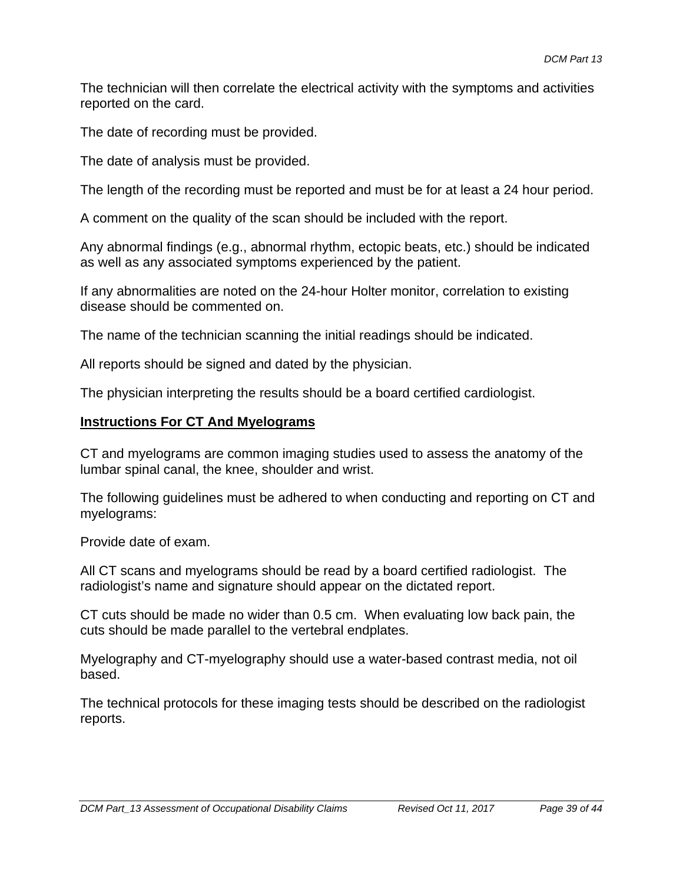The technician will then correlate the electrical activity with the symptoms and activities reported on the card.

The date of recording must be provided.

The date of analysis must be provided.

The length of the recording must be reported and must be for at least a 24 hour period.

A comment on the quality of the scan should be included with the report.

Any abnormal findings (e.g., abnormal rhythm, ectopic beats, etc.) should be indicated as well as any associated symptoms experienced by the patient.

If any abnormalities are noted on the 24-hour Holter monitor, correlation to existing disease should be commented on.

The name of the technician scanning the initial readings should be indicated.

All reports should be signed and dated by the physician.

The physician interpreting the results should be a board certified cardiologist.

### **Instructions For CT And Myelograms**

CT and myelograms are common imaging studies used to assess the anatomy of the lumbar spinal canal, the knee, shoulder and wrist.

The following guidelines must be adhered to when conducting and reporting on CT and myelograms:

Provide date of exam.

All CT scans and myelograms should be read by a board certified radiologist. The radiologist's name and signature should appear on the dictated report.

CT cuts should be made no wider than 0.5 cm. When evaluating low back pain, the cuts should be made parallel to the vertebral endplates.

Myelography and CT-myelography should use a water-based contrast media, not oil based.

The technical protocols for these imaging tests should be described on the radiologist reports.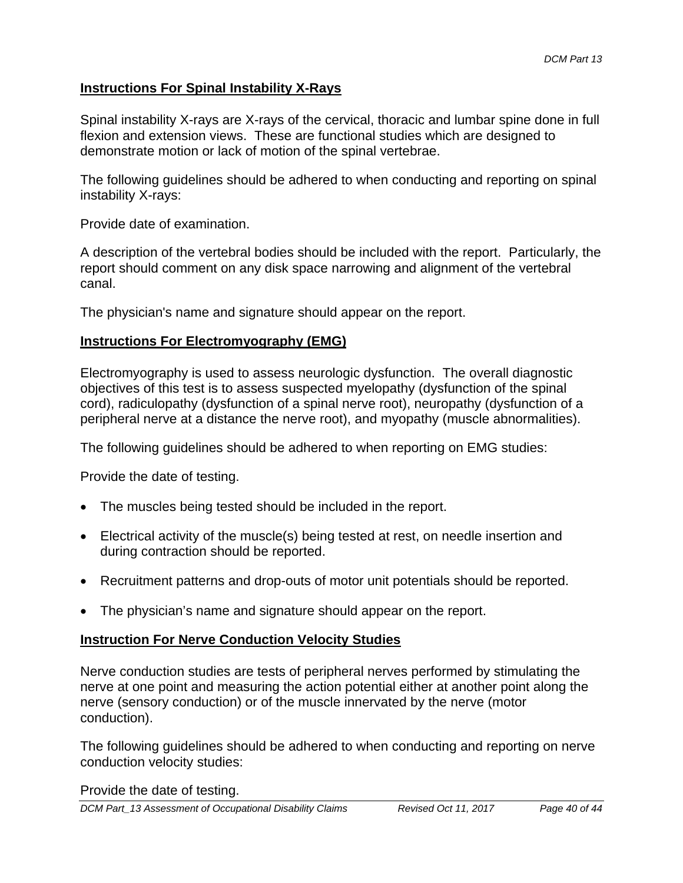### **Instructions For Spinal Instability X-Rays**

Spinal instability X-rays are X-rays of the cervical, thoracic and lumbar spine done in full flexion and extension views. These are functional studies which are designed to demonstrate motion or lack of motion of the spinal vertebrae.

The following guidelines should be adhered to when conducting and reporting on spinal instability X-rays:

Provide date of examination.

A description of the vertebral bodies should be included with the report. Particularly, the report should comment on any disk space narrowing and alignment of the vertebral canal.

The physician's name and signature should appear on the report.

### **Instructions For Electromyography (EMG)**

Electromyography is used to assess neurologic dysfunction. The overall diagnostic objectives of this test is to assess suspected myelopathy (dysfunction of the spinal cord), radiculopathy (dysfunction of a spinal nerve root), neuropathy (dysfunction of a peripheral nerve at a distance the nerve root), and myopathy (muscle abnormalities).

The following guidelines should be adhered to when reporting on EMG studies:

Provide the date of testing.

- The muscles being tested should be included in the report.
- Electrical activity of the muscle(s) being tested at rest, on needle insertion and during contraction should be reported.
- Recruitment patterns and drop-outs of motor unit potentials should be reported.
- The physician's name and signature should appear on the report.

#### **Instruction For Nerve Conduction Velocity Studies**

Nerve conduction studies are tests of peripheral nerves performed by stimulating the nerve at one point and measuring the action potential either at another point along the nerve (sensory conduction) or of the muscle innervated by the nerve (motor conduction).

The following guidelines should be adhered to when conducting and reporting on nerve conduction velocity studies:

Provide the date of testing.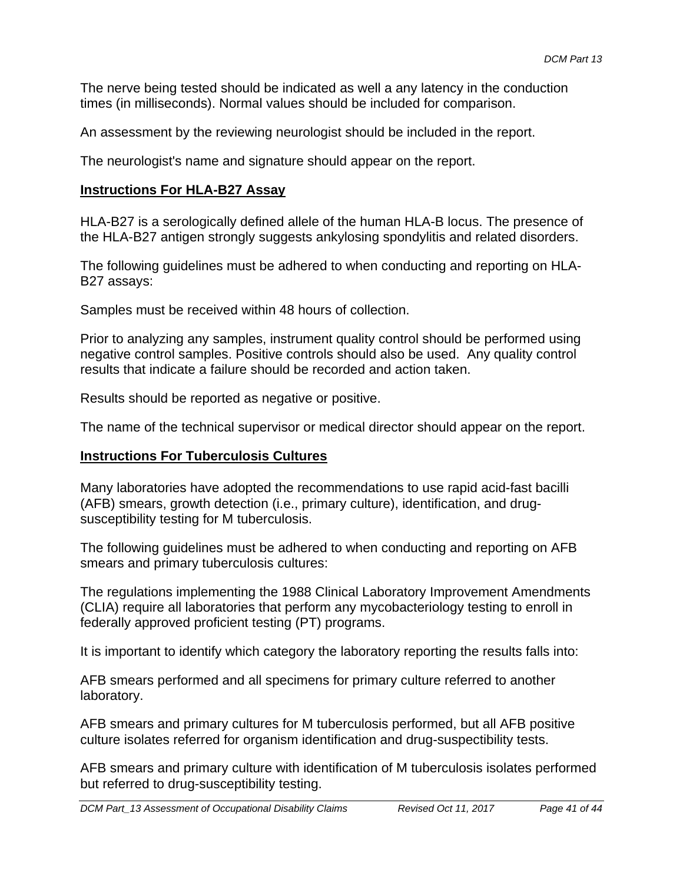The nerve being tested should be indicated as well a any latency in the conduction times (in milliseconds). Normal values should be included for comparison.

An assessment by the reviewing neurologist should be included in the report.

The neurologist's name and signature should appear on the report.

### **Instructions For HLA-B27 Assay**

HLA-B27 is a serologically defined allele of the human HLA-B locus. The presence of the HLA-B27 antigen strongly suggests ankylosing spondylitis and related disorders.

The following guidelines must be adhered to when conducting and reporting on HLA-B27 assays:

Samples must be received within 48 hours of collection.

Prior to analyzing any samples, instrument quality control should be performed using negative control samples. Positive controls should also be used. Any quality control results that indicate a failure should be recorded and action taken.

Results should be reported as negative or positive.

The name of the technical supervisor or medical director should appear on the report.

### **Instructions For Tuberculosis Cultures**

Many laboratories have adopted the recommendations to use rapid acid-fast bacilli (AFB) smears, growth detection (i.e., primary culture), identification, and drugsusceptibility testing for M tuberculosis.

The following guidelines must be adhered to when conducting and reporting on AFB smears and primary tuberculosis cultures:

The regulations implementing the 1988 Clinical Laboratory Improvement Amendments (CLIA) require all laboratories that perform any mycobacteriology testing to enroll in federally approved proficient testing (PT) programs.

It is important to identify which category the laboratory reporting the results falls into:

AFB smears performed and all specimens for primary culture referred to another laboratory.

AFB smears and primary cultures for M tuberculosis performed, but all AFB positive culture isolates referred for organism identification and drug-suspectibility tests.

AFB smears and primary culture with identification of M tuberculosis isolates performed but referred to drug-susceptibility testing.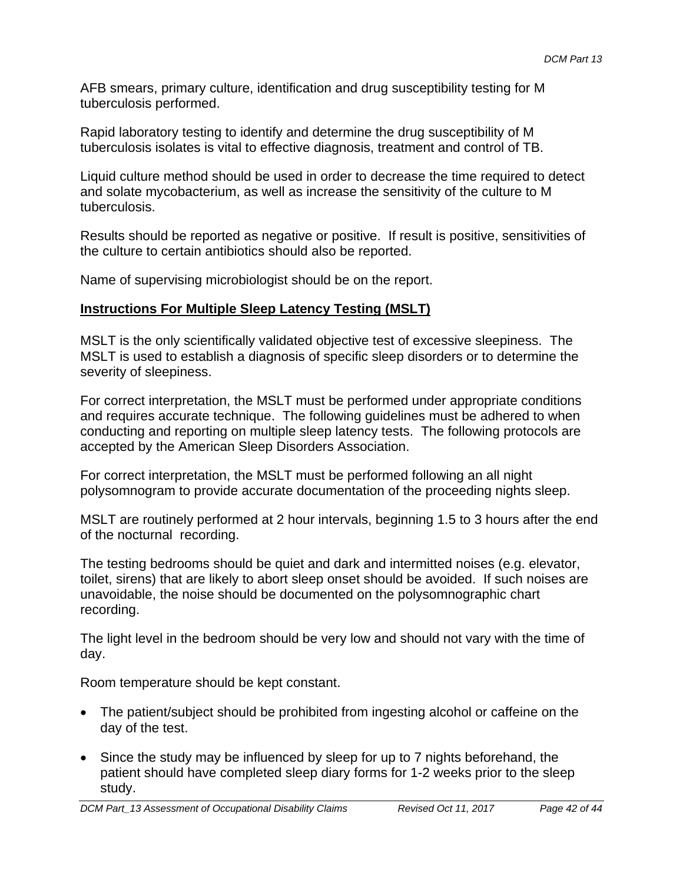AFB smears, primary culture, identification and drug susceptibility testing for M tuberculosis performed.

Rapid laboratory testing to identify and determine the drug susceptibility of M tuberculosis isolates is vital to effective diagnosis, treatment and control of TB.

Liquid culture method should be used in order to decrease the time required to detect and solate mycobacterium, as well as increase the sensitivity of the culture to M tuberculosis.

Results should be reported as negative or positive. If result is positive, sensitivities of the culture to certain antibiotics should also be reported.

Name of supervising microbiologist should be on the report.

### **Instructions For Multiple Sleep Latency Testing (MSLT)**

MSLT is the only scientifically validated objective test of excessive sleepiness. The MSLT is used to establish a diagnosis of specific sleep disorders or to determine the severity of sleepiness.

For correct interpretation, the MSLT must be performed under appropriate conditions and requires accurate technique. The following guidelines must be adhered to when conducting and reporting on multiple sleep latency tests. The following protocols are accepted by the American Sleep Disorders Association.

For correct interpretation, the MSLT must be performed following an all night polysomnogram to provide accurate documentation of the proceeding nights sleep.

MSLT are routinely performed at 2 hour intervals, beginning 1.5 to 3 hours after the end of the nocturnal recording.

The testing bedrooms should be quiet and dark and intermitted noises (e.g. elevator, toilet, sirens) that are likely to abort sleep onset should be avoided. If such noises are unavoidable, the noise should be documented on the polysomnographic chart recording.

The light level in the bedroom should be very low and should not vary with the time of day.

Room temperature should be kept constant.

- The patient/subject should be prohibited from ingesting alcohol or caffeine on the day of the test.
- Since the study may be influenced by sleep for up to 7 nights beforehand, the patient should have completed sleep diary forms for 1-2 weeks prior to the sleep study.